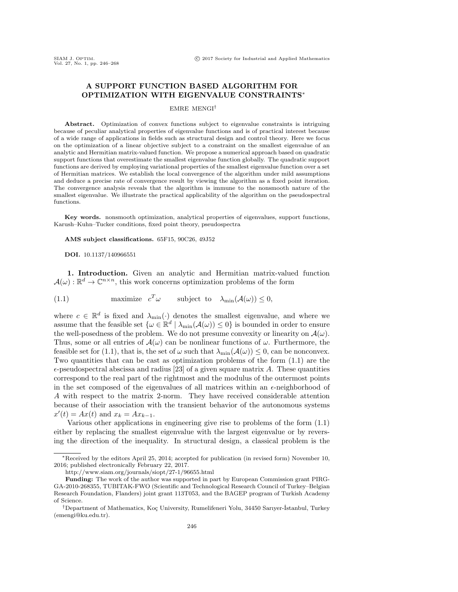# A SUPPORT FUNCTION BASED ALGORITHM FOR OPTIMIZATION WITH EIGENVALUE CONSTRAINTS<sup>∗</sup>

#### EMRE MENGI†

Abstract. Optimization of convex functions subject to eigenvalue constraints is intriguing because of peculiar analytical properties of eigenvalue functions and is of practical interest because of a wide range of applications in fields such as structural design and control theory. Here we focus on the optimization of a linear objective subject to a constraint on the smallest eigenvalue of an analytic and Hermitian matrix-valued function. We propose a numerical approach based on quadratic support functions that overestimate the smallest eigenvalue function globally. The quadratic support functions are derived by employing variational properties of the smallest eigenvalue function over a set of Hermitian matrices. We establish the local convergence of the algorithm under mild assumptions and deduce a precise rate of convergence result by viewing the algorithm as a fixed point iteration. The convergence analysis reveals that the algorithm is immune to the nonsmooth nature of the smallest eigenvalue. We illustrate the practical applicability of the algorithm on the pseudospectral functions.

Key words. nonsmooth optimization, analytical properties of eigenvalues, support functions, Karush–Kuhn–Tucker conditions, fixed point theory, pseudospectra

AMS subject classifications. 65F15, 90C26, 49J52

DOI. 10.1137/140966551

1. Introduction. Given an analytic and Hermitian matrix-valued function  $\mathcal{A}(\omega): \mathbb{R}^d \to \mathbb{C}^{n \times n}$ , this work concerns optimization problems of the form

<span id="page-0-0"></span>(1.1) maximize  $c^T \omega$  subject to  $\lambda_{\min}(\mathcal{A}(\omega)) \leq 0$ ,

where  $c \in \mathbb{R}^d$  is fixed and  $\lambda_{\min}(\cdot)$  denotes the smallest eigenvalue, and where we assume that the feasible set  $\{\omega \in \mathbb{R}^d \mid \lambda_{\min}(\mathcal{A}(\omega)) \leq 0\}$  is bounded in order to ensure the well-posedness of the problem. We do not presume convexity or linearity on  $\mathcal{A}(\omega)$ . Thus, some or all entries of  $\mathcal{A}(\omega)$  can be nonlinear functions of  $\omega$ . Furthermore, the feasible set for [\(1.1\)](#page-0-0), that is, the set of  $\omega$  such that  $\lambda_{\min}(\mathcal{A}(\omega)) \leq 0$ , can be nonconvex. Two quantities that can be cast as optimization problems of the form [\(1.1\)](#page-0-0) are the  $\epsilon$ -pseudospectral abscissa and radius [\[23\]](#page-22-0) of a given square matrix A. These quantities correspond to the real part of the rightmost and the modulus of the outermost points in the set composed of the eigenvalues of all matrices within an  $\epsilon$ -neighborhood of A with respect to the matrix 2-norm. They have received considerable attention because of their association with the transient behavior of the autonomous systems  $x'(t) = Ax(t)$  and  $x_k = Ax_{k-1}$ .

Various other applications in engineering give rise to problems of the form [\(1.1\)](#page-0-0) either by replacing the smallest eigenvalue with the largest eigenvalue or by reversing the direction of the inequality. In structural design, a classical problem is the

<sup>∗</sup>Received by the editors April 25, 2014; accepted for publication (in revised form) November 10, 2016; published electronically February 22, 2017.

<http://www.siam.org/journals/siopt/27-1/96655.html>

Funding: The work of the author was supported in part by European Commission grant PIRG-GA-2010-268355, TUBITAK-FWO (Scientific and Technological Research Council of Turkey–Belgian Research Foundation, Flanders) joint grant 113T053, and the BAGEP program of Turkish Academy of Science.

<sup>&</sup>lt;sup>†</sup>Department of Mathematics, Koç University, Rumelifeneri Yolu, 34450 Sarıyer-İstanbul, Turkey [\(emengi@ku.edu.tr\)](mailto:emengi@ku.edu.tr).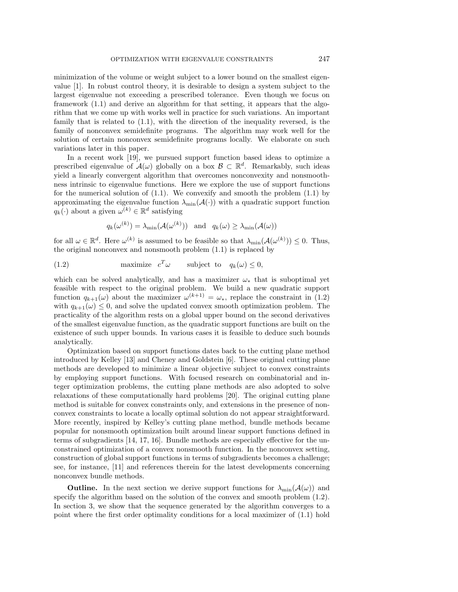minimization of the volume or weight subject to a lower bound on the smallest eigenvalue [\[1\]](#page-22-1). In robust control theory, it is desirable to design a system subject to the largest eigenvalue not exceeding a prescribed tolerance. Even though we focus on framework [\(1.1\)](#page-0-0) and derive an algorithm for that setting, it appears that the algorithm that we come up with works well in practice for such variations. An important family that is related to [\(1.1\)](#page-0-0), with the direction of the inequality reversed, is the family of nonconvex semidefinite programs. The algorithm may work well for the solution of certain nonconvex semidefinite programs locally. We elaborate on such variations later in this paper.

In a recent work [\[19\]](#page-22-2), we pursued support function based ideas to optimize a prescribed eigenvalue of  $\mathcal{A}(\omega)$  globally on a box  $\mathcal{B} \subset \mathbb{R}^d$ . Remarkably, such ideas yield a linearly convergent algorithm that overcomes nonconvexity and nonsmoothness intrinsic to eigenvalue functions. Here we explore the use of support functions for the numerical solution of  $(1.1)$ . We convexify and smooth the problem  $(1.1)$  by approximating the eigenvalue function  $\lambda_{\min}(\mathcal{A}(\cdot))$  with a quadratic support function  $q_k(\cdot)$  about a given  $\omega^{(k)} \in \mathbb{R}^d$  satisfying

<span id="page-1-0"></span>
$$
q_k(\omega^{(k)}) = \lambda_{\min}(\mathcal{A}(\omega^{(k)}))
$$
 and  $q_k(\omega) \ge \lambda_{\min}(\mathcal{A}(\omega))$ 

for all  $\omega \in \mathbb{R}^d$ . Here  $\omega^{(k)}$  is assumed to be feasible so that  $\lambda_{\min}(\mathcal{A}(\omega^{(k)})) \leq 0$ . Thus, the original nonconvex and nonsmooth problem [\(1.1\)](#page-0-0) is replaced by

(1.2) maximize 
$$
c^T \omega
$$
 subject to  $q_k(\omega) \leq 0$ ,

which can be solved analytically, and has a maximizer  $\omega_*$  that is suboptimal yet feasible with respect to the original problem. We build a new quadratic support function  $q_{k+1}(\omega)$  about the maximizer  $\omega^{(k+1)} = \omega_*$ , replace the constraint in [\(1.2\)](#page-1-0) with  $q_{k+1}(\omega) \leq 0$ , and solve the updated convex smooth optimization problem. The practicality of the algorithm rests on a global upper bound on the second derivatives of the smallest eigenvalue function, as the quadratic support functions are built on the existence of such upper bounds. In various cases it is feasible to deduce such bounds analytically.

Optimization based on support functions dates back to the cutting plane method introduced by Kelley [\[13\]](#page-22-3) and Cheney and Goldstein [\[6\]](#page-22-4). These original cutting plane methods are developed to minimize a linear objective subject to convex constraints by employing support functions. With focused research on combinatorial and integer optimization problems, the cutting plane methods are also adopted to solve relaxations of these computationally hard problems [\[20\]](#page-22-5). The original cutting plane method is suitable for convex constraints only, and extensions in the presence of nonconvex constraints to locate a locally optimal solution do not appear straightforward. More recently, inspired by Kelley's cutting plane method, bundle methods became popular for nonsmooth optimization built around linear support functions defined in terms of subgradients [\[14,](#page-22-6) [17,](#page-22-7) [16\]](#page-22-8). Bundle methods are especially effective for the unconstrained optimization of a convex nonsmooth function. In the nonconvex setting, construction of global support functions in terms of subgradients becomes a challenge; see, for instance, [\[11\]](#page-22-9) and references therein for the latest developments concerning nonconvex bundle methods.

**Outline.** In the next section we derive support functions for  $\lambda_{\min}(\mathcal{A}(\omega))$  and specify the algorithm based on the solution of the convex and smooth problem [\(1.2\)](#page-1-0). In section [3,](#page-5-0) we show that the sequence generated by the algorithm converges to a point where the first order optimality conditions for a local maximizer of [\(1.1\)](#page-0-0) hold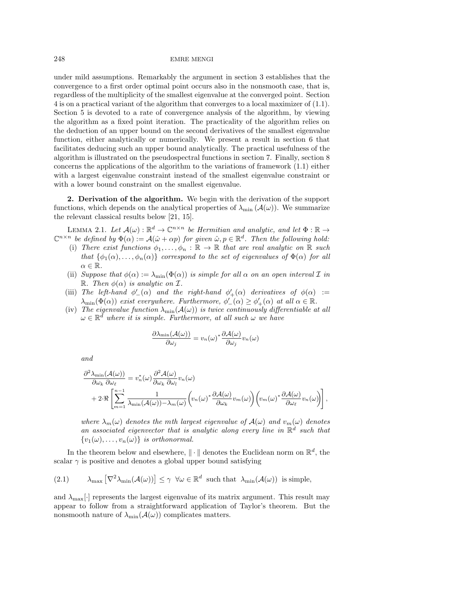under mild assumptions. Remarkably the argument in section [3](#page-5-0) establishes that the convergence to a first order optimal point occurs also in the nonsmooth case, that is, regardless of the multiplicity of the smallest eigenvalue at the converged point. Section [4](#page-9-0) is on a practical variant of the algorithm that converges to a local maximizer of [\(1.1\)](#page-0-0). Section [5](#page-9-1) is devoted to a rate of convergence analysis of the algorithm, by viewing the algorithm as a fixed point iteration. The practicality of the algorithm relies on the deduction of an upper bound on the second derivatives of the smallest eigenvalue function, either analytically or numerically. We present a result in section [6](#page-14-0) that facilitates deducing such an upper bound analytically. The practical usefulness of the algorithm is illustrated on the pseudospectral functions in section [7.](#page-15-0) Finally, section [8](#page-19-0) concerns the applications of the algorithm to the variations of framework [\(1.1\)](#page-0-0) either with a largest eigenvalue constraint instead of the smallest eigenvalue constraint or with a lower bound constraint on the smallest eigenvalue.

2. Derivation of the algorithm. We begin with the derivation of the support functions, which depends on the analytical properties of  $\lambda_{\min} (\mathcal{A}(\omega))$ . We summarize the relevant classical results below [\[21,](#page-22-10) [15\]](#page-22-11).

<span id="page-2-1"></span>LEMMA 2.1. Let  $\mathcal{A}(\omega): \mathbb{R}^d \to \mathbb{C}^{n \times n}$  be Hermitian and analytic, and let  $\Phi : \mathbb{R} \to$  $\mathbb{C}^{n \times n}$  be defined by  $\Phi(\alpha) := \mathcal{A}(\hat{\omega} + \alpha p)$  for given  $\hat{\omega}, p \in \mathbb{R}^d$ . Then the following hold:

- (i) There exist functions  $\phi_1, \ldots, \phi_n : \mathbb{R} \to \mathbb{R}$  that are real analytic on  $\mathbb{R}$  such that  $\{\phi_1(\alpha), \ldots, \phi_n(\alpha)\}\)$  correspond to the set of eigenvalues of  $\Phi(\alpha)$  for all  $\alpha \in \mathbb{R}$ .
- (ii) Suppose that  $\phi(\alpha) := \lambda_{\min}(\Phi(\alpha))$  is simple for all  $\alpha$  on an open interval  $\mathcal I$  in R. Then  $\phi(\alpha)$  is analytic on  $\mathcal{I}$ .
- (iii) The left-hand  $\phi'_{-}(\alpha)$  and the right-hand  $\phi'_{+}(\alpha)$  derivatives of  $\phi(\alpha)$  :=  $\lambda_{\min}(\Phi(\alpha))$  exist everywhere. Furthermore,  $\phi'_{-}(\alpha) \geq \phi'_{+}(\alpha)$  at all  $\alpha \in \mathbb{R}$ .
- (iv) The eigenvalue function  $\lambda_{\min}(\mathcal{A}(\omega))$  is twice continuously differentiable at all  $\omega \in \mathbb{R}^d$  where it is simple. Furthermore, at all such  $\omega$  we have

$$
\frac{\partial \lambda_{\min}(\mathcal{A}(\omega))}{\partial \omega_j} = v_n(\omega)^* \frac{\partial \mathcal{A}(\omega)}{\partial \omega_j} v_n(\omega)
$$

and

$$
\frac{\partial^2 \lambda_{\min}(\mathcal{A}(\omega))}{\partial \omega_k \partial \omega_\ell} = v_n^*(\omega) \frac{\partial^2 \mathcal{A}(\omega)}{\partial \omega_k \partial \omega_l} v_n(\omega) \n+ 2 \cdot \Re \left[ \sum_{m=1}^{n-1} \frac{1}{\lambda_{\min}(\mathcal{A}(\omega)) - \lambda_m(\omega)} \left( v_n(\omega)^* \frac{\partial \mathcal{A}(\omega)}{\partial \omega_k} v_m(\omega) \right) \left( v_m(\omega)^* \frac{\partial \mathcal{A}(\omega)}{\partial \omega_\ell} v_n(\omega) \right) \right],
$$

where  $\lambda_m(\omega)$  denotes the mth largest eigenvalue of  $\mathcal{A}(\omega)$  and  $v_m(\omega)$  denotes an associated eigenvector that is analytic along every line in  $\mathbb{R}^d$  such that  ${v_1(\omega), \ldots, v_n(\omega)}$  is orthonormal.

In the theorem below and elsewhere,  $\|\cdot\|$  denotes the Euclidean norm on  $\mathbb{R}^d$ , the scalar  $\gamma$  is positive and denotes a global upper bound satisfying

<span id="page-2-0"></span>(2.1) 
$$
\lambda_{\max}\left[\nabla^2 \lambda_{\min}(\mathcal{A}(\omega))\right] \leq \gamma \ \forall \omega \in \mathbb{R}^d \text{ such that } \lambda_{\min}(\mathcal{A}(\omega)) \text{ is simple,}
$$

<span id="page-2-2"></span>and  $\lambda_{\text{max}}[\cdot]$  represents the largest eigenvalue of its matrix argument. This result may appear to follow from a straightforward application of Taylor's theorem. But the nonsmooth nature of  $\lambda_{\min}(\mathcal{A}(\omega))$  complicates matters.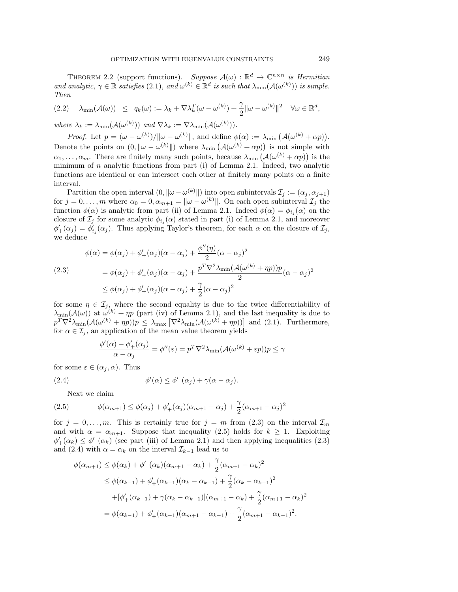THEOREM 2.2 (support functions). Suppose  $\mathcal{A}(\omega) : \mathbb{R}^d \to \mathbb{C}^{n \times n}$  is Hermitian and analytic,  $\gamma \in \mathbb{R}$  satisfies [\(2.1\)](#page-2-0), and  $\omega^{(k)} \in \mathbb{R}^d$  is such that  $\lambda_{\min}(\mathcal{A}(\omega^{(k)}))$  is simple. Then

<span id="page-3-3"></span>
$$
(2.2) \quad \lambda_{\min}(\mathcal{A}(\omega)) \leq q_k(\omega) := \lambda_k + \nabla \lambda_k^T (\omega - \omega^{(k)}) + \frac{\gamma}{2} ||\omega - \omega^{(k)}||^2 \quad \forall \omega \in \mathbb{R}^d,
$$

where  $\lambda_k := \lambda_{\min}(\mathcal{A}(\omega^{(k)}))$  and  $\nabla \lambda_k := \nabla \lambda_{\min}(\mathcal{A}(\omega^{(k)})).$ 

*Proof.* Let  $p = (\omega - \omega^{(k)})/||\omega - \omega^{(k)}||$ , and define  $\phi(\alpha) := \lambda_{\min} (\mathcal{A}(\omega^{(k)} + \alpha p)).$ Denote the points on  $(0, ||\omega - \omega^{(k)}||)$  where  $\lambda_{\min} (\mathcal{A}(\omega^{(k)} + \alpha p))$  is not simple with  $\alpha_1, \ldots, \alpha_m$ . There are finitely many such points, because  $\lambda_{\min}(\mathcal{A}(\omega^{(k)} + \alpha p))$  is the minimum of  $n$  analytic functions from part (i) of Lemma [2.1.](#page-2-1) Indeed, two analytic functions are identical or can intersect each other at finitely many points on a finite interval.

Partition the open interval  $(0, ||\omega - \omega^{(k)}||)$  into open subintervals  $\mathcal{I}_j := (\alpha_j, \alpha_{j+1})$ for  $j = 0, \ldots, m$  where  $\alpha_0 = 0, \alpha_{m+1} = ||\omega - \omega^{(k)}||$ . On each open subinterval  $\mathcal{I}_j$  the function  $\phi(\alpha)$  is analytic from part (ii) of Lemma [2.1.](#page-2-1) Indeed  $\phi(\alpha) = \phi_{i_j}(\alpha)$  on the closure of  $\mathcal{I}_j$  for some analytic  $\phi_{i_j}(\alpha)$  stated in part (i) of Lemma [2.1,](#page-2-1) and moreover  $\phi'_+(\alpha_j) = \phi'_{i_j}(\alpha_j)$ . Thus applying Taylor's theorem, for each  $\alpha$  on the closure of  $\mathcal{I}_j$ , we deduce

<span id="page-3-0"></span>(2.3)  
\n
$$
\phi(\alpha) = \phi(\alpha_j) + \phi'_+(\alpha_j)(\alpha - \alpha_j) + \frac{\phi''(\eta)}{2}(\alpha - \alpha_j)^2
$$
\n
$$
= \phi(\alpha_j) + \phi'_+(\alpha_j)(\alpha - \alpha_j) + \frac{p^T \nabla^2 \lambda_{\min}(\mathcal{A}(\omega^{(k)} + \eta p))p}{2}(\alpha - \alpha_j)^2
$$
\n
$$
\leq \phi(\alpha_j) + \phi'_+(\alpha_j)(\alpha - \alpha_j) + \frac{\gamma}{2}(\alpha - \alpha_j)^2
$$

for some  $\eta \in \mathcal{I}_j$ , where the second equality is due to the twice differentiability of  $\lambda_{\min}(\mathcal{A}(\omega))$  at  $\omega^{(k)} + \eta p$  (part (iv) of Lemma [2.1\)](#page-2-1), and the last inequality is due to  $p^T \nabla^2 \lambda_{\min} (\mathcal{A}(\omega^{(k)} + \eta p)) p \leq \lambda_{\max} [\nabla^2 \lambda_{\min} (\mathcal{A}(\omega^{(k)} + \eta p))]$  and [\(2.1\)](#page-2-0). Furthermore, for  $\alpha \in \mathcal{I}_j$ , an application of the mean value theorem yields

$$
\frac{\phi'(\alpha) - \phi'_+(\alpha_j)}{\alpha - \alpha_j} = \phi''(\varepsilon) = p^T \nabla^2 \lambda_{\min} (\mathcal{A}(\omega^{(k)} + \varepsilon p)) p \le \gamma
$$

for some  $\varepsilon \in (\alpha_i, \alpha)$ . Thus

<span id="page-3-2"></span>
$$
\phi'(\alpha) \le \phi'_+(\alpha_j) + \gamma(\alpha - \alpha_j).
$$

<span id="page-3-1"></span>Next we claim

 $(2.4)$ 

(2.5) 
$$
\phi(\alpha_{m+1}) \le \phi(\alpha_j) + \phi'_+(\alpha_j)(\alpha_{m+1} - \alpha_j) + \frac{\gamma}{2}(\alpha_{m+1} - \alpha_j)^2
$$

for  $j = 0, \ldots, m$ . This is certainly true for  $j = m$  from [\(2.3\)](#page-3-0) on the interval  $\mathcal{I}_m$ and with  $\alpha = \alpha_{m+1}$ . Suppose that inequality [\(2.5\)](#page-3-1) holds for  $k \geq 1$ . Exploiting  $\phi'_{+}(\alpha_k) \leq \phi'_{-}(\alpha_k)$  (see part (iii) of Lemma [2.1\)](#page-2-1) and then applying inequalities [\(2.3\)](#page-3-0) and [\(2.4\)](#page-3-2) with  $\alpha = \alpha_k$  on the interval  $\mathcal{I}_{k-1}$  lead us to

$$
\phi(\alpha_{m+1}) \leq \phi(\alpha_k) + \phi'_{-}(\alpha_k)(\alpha_{m+1} - \alpha_k) + \frac{\gamma}{2}(\alpha_{m+1} - \alpha_k)^2
$$
  
\n
$$
\leq \phi(\alpha_{k-1}) + \phi'_{+}(\alpha_{k-1})(\alpha_k - \alpha_{k-1}) + \frac{\gamma}{2}(\alpha_k - \alpha_{k-1})^2
$$
  
\n
$$
+ [\phi'_{+}(\alpha_{k-1}) + \gamma(\alpha_k - \alpha_{k-1})](\alpha_{m+1} - \alpha_k) + \frac{\gamma}{2}(\alpha_{m+1} - \alpha_k)^2
$$
  
\n
$$
= \phi(\alpha_{k-1}) + \phi'_{+}(\alpha_{k-1})(\alpha_{m+1} - \alpha_{k-1}) + \frac{\gamma}{2}(\alpha_{m+1} - \alpha_{k-1})^2.
$$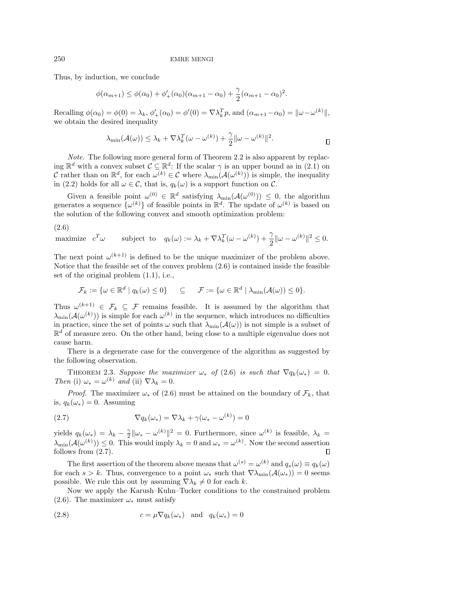Thus, by induction, we conclude

$$
\phi(\alpha_{m+1}) \le \phi(\alpha_0) + \phi'_+(\alpha_0)(\alpha_{m+1} - \alpha_0) + \frac{\gamma}{2}(\alpha_{m+1} - \alpha_0)^2.
$$

Recalling  $\phi(\alpha_0) = \phi(0) = \lambda_k$ ,  $\phi'_+(\alpha_0) = \phi'(0) = \nabla \lambda_k^T p$ , and  $(\alpha_{m+1} - \alpha_0) = ||\omega - \omega^{(k)}||$ , we obtain the desired inequality

$$
\lambda_{\min}(\mathcal{A}(\omega)) \leq \lambda_k + \nabla \lambda_k^T(\omega - \omega^{(k)}) + \frac{\gamma}{2} ||\omega - \omega^{(k)}||^2.
$$

Note. The following more general form of Theorem [2.2](#page-2-2) is also apparent by replacing  $\mathbb{R}^d$  with a convex subset  $\mathcal{C} \subseteq \mathbb{R}^d$ : If the scalar  $\gamma$  is an upper bound as in [\(2.1\)](#page-2-0) on C rather than on  $\mathbb{R}^d$ , for each  $\omega^{(k)} \in \mathcal{C}$  where  $\lambda_{\min}(\mathcal{A}(\omega^{(k)}))$  is simple, the inequality in [\(2.2\)](#page-3-3) holds for all  $\omega \in \mathcal{C}$ , that is,  $q_k(\omega)$  is a support function on  $\mathcal{C}$ .

Given a feasible point  $\omega^{(0)} \in \mathbb{R}^d$  satisfying  $\lambda_{\min}(\mathcal{A}(\omega^{(0)})) \leq 0$ , the algorithm generates a sequence  $\{\omega^{(k)}\}$  of feasible points in  $\mathbb{R}^d$ . The update of  $\omega^{(k)}$  is based on the solution of the following convex and smooth optimization problem:

(2.6)

<span id="page-4-0"></span>maximize 
$$
c^T \omega
$$
 subject to  $q_k(\omega) := \lambda_k + \nabla \lambda_k^T (\omega - \omega^{(k)}) + \frac{\gamma}{2} ||\omega - \omega^{(k)}||^2 \le 0$ .

The next point  $\omega^{(k+1)}$  is defined to be the unique maximizer of the problem above. Notice that the feasible set of the convex problem [\(2.6\)](#page-4-0) is contained inside the feasible set of the original problem [\(1.1\)](#page-0-0), i.e.,

$$
\mathcal{F}_k := \{ \omega \in \mathbb{R}^d \mid q_k(\omega) \leq 0 \} \qquad \subseteq \qquad \mathcal{F} := \{ \omega \in \mathbb{R}^d \mid \lambda_{\min}(\mathcal{A}(\omega)) \leq 0 \}.
$$

Thus  $\omega^{(k+1)} \in \mathcal{F}_k \subseteq \mathcal{F}$  remains feasible. It is assumed by the algorithm that  $\lambda_{\min}(\mathcal{A}(\omega^{(k)}))$  is simple for each  $\omega^{(k)}$  in the sequence, which introduces no difficulties in practice, since the set of points  $\omega$  such that  $\lambda_{\min}(\mathcal{A}(\omega))$  is not simple is a subset of  $\mathbb{R}^d$  of measure zero. On the other hand, being close to a multiple eigenvalue does not cause harm.

There is a degenerate case for the convergence of the algorithm as suggested by the following observation.

THEOREM 2.3. Suppose the maximizer  $\omega_*$  of [\(2.6\)](#page-4-0) is such that  $\nabla q_k(\omega_*) = 0$ . Then (i)  $\omega_* = \omega^{(k)}$  and (ii)  $\nabla \lambda_k = 0$ .

*Proof.* The maximizer  $\omega_*$  of [\(2.6\)](#page-4-0) must be attained on the boundary of  $\mathcal{F}_k$ , that is,  $q_k(\omega_*) = 0$ . Assuming

<span id="page-4-1"></span>(2.7) 
$$
\nabla q_k(\omega_*) = \nabla \lambda_k + \gamma(\omega_* - \omega^{(k)}) = 0
$$

yields  $q_k(\omega_*) = \lambda_k - \frac{\gamma}{2} ||\omega_* - \omega^{(k)}||^2 = 0$ . Furthermore, since  $\omega^{(k)}$  is feasible,  $\lambda_k =$  $\lambda_{\min}(\mathcal{A}(\omega^{(k)})) \leq 0$ . This would imply  $\lambda_k = 0$  and  $\omega_* = \omega^{(k)}$ . Now the second assertion follows from [\(2.7\)](#page-4-1).

The first assertion of the theorem above means that  $\omega^{(s)} = \omega^{(k)}$  and  $q_s(\omega) \equiv q_k(\omega)$ for each  $s > k$ . Thus, convergence to a point  $\omega_*$  such that  $\nabla \lambda_{\min}(\mathcal{A}(\omega_*)) = 0$  seems possible. We rule this out by assuming  $\nabla \lambda_k \neq 0$  for each k.

Now we apply the Karush–Kuhn–Tucker conditions to the constrained problem [\(2.6\)](#page-4-0). The maximizer  $\omega_*$  must satisfy

(2.8) 
$$
c = \mu \nabla q_k(\omega_*) \quad \text{and} \quad q_k(\omega_*) = 0
$$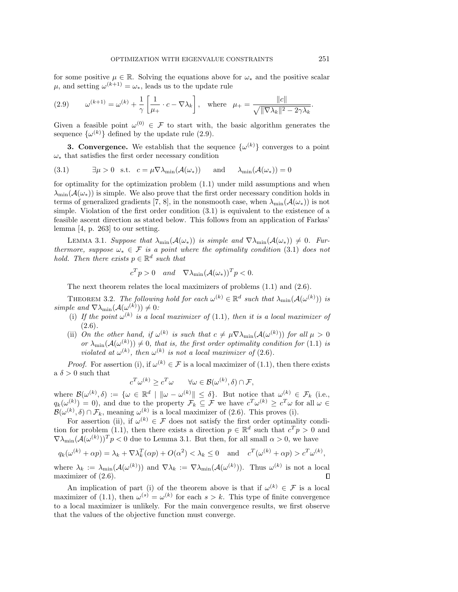for some positive  $\mu \in \mathbb{R}$ . Solving the equations above for  $\omega_*$  and the positive scalar  $\mu$ , and setting  $\omega^{(k+1)} = \omega_*$ , leads us to the update rule

<span id="page-5-1"></span>(2.9) 
$$
\omega^{(k+1)} = \omega^{(k)} + \frac{1}{\gamma} \left[ \frac{1}{\mu_+} \cdot c - \nabla \lambda_k \right], \text{ where } \mu_+ = \frac{\|c\|}{\sqrt{\|\nabla \lambda_k\|^2 - 2\gamma \lambda_k}}.
$$

Given a feasible point  $\omega^{(0)} \in \mathcal{F}$  to start with, the basic algorithm generates the sequence  $\{\omega^{(k)}\}$  defined by the update rule [\(2.9\)](#page-5-1).

<span id="page-5-0"></span>**3. Convergence.** We establish that the sequence  $\{\omega^{(k)}\}$  converges to a point  $\omega_*$  that satisfies the first order necessary condition

<span id="page-5-2"></span>(3.1) 
$$
\exists \mu > 0
$$
 s.t.  $c = \mu \nabla \lambda_{\min}(\mathcal{A}(\omega_*))$  and  $\lambda_{\min}(\mathcal{A}(\omega_*)) = 0$ 

for optimality for the optimization problem [\(1.1\)](#page-0-0) under mild assumptions and when  $\lambda_{\min}(\mathcal{A}(\omega_*))$  is simple. We also prove that the first order necessary condition holds in terms of generalized gradients [\[7,](#page-22-12) [8\]](#page-22-13), in the nonsmooth case, when  $\lambda_{\min}(\mathcal{A}(\omega_*))$  is not simple. Violation of the first order condition [\(3.1\)](#page-5-2) is equivalent to the existence of a feasible ascent direction as stated below. This follows from an application of Farkas' lemma [\[4,](#page-22-14) p. 263] to our setting.

<span id="page-5-3"></span>LEMMA 3.1. Suppose that  $\lambda_{\min}(\mathcal{A}(\omega_*))$  is simple and  $\nabla \lambda_{\min}(\mathcal{A}(\omega_*)) \neq 0$ . Furthermore, suppose  $\omega_* \in \mathcal{F}$  is a point where the optimality condition [\(3.1\)](#page-5-2) does not hold. Then there exists  $p \in \mathbb{R}^d$  such that

<span id="page-5-5"></span>
$$
c^T p > 0
$$
 and  $\nabla \lambda_{\min} (\mathcal{A}(\omega_*))^T p < 0.$ 

The next theorem relates the local maximizers of problems [\(1.1\)](#page-0-0) and [\(2.6\)](#page-4-0).

THEOREM 3.2. The following hold for each  $\omega^{(k)} \in \mathbb{R}^d$  such that  $\lambda_{\min}(\mathcal{A}(\omega^{(k)}))$  is simple and  $\nabla \lambda_{\min}(\mathcal{A}(\omega^{(k)})) \neq 0$ :

- (i) If the point  $\omega^{(k)}$  is a local maximizer of [\(1.1\)](#page-0-0), then it is a local maximizer of  $(2.6).$  $(2.6).$
- (ii) On the other hand, if  $\omega^{(k)}$  is such that  $c \neq \mu \nabla \lambda_{\min}(\mathcal{A}(\omega^{(k)}))$  for all  $\mu > 0$ or  $\lambda_{\min}(\mathcal{A}(\omega^{(k)})) \neq 0$ , that is, the first order optimality condition for [\(1.1\)](#page-0-0) is violated at  $\omega^{(k)}$ , then  $\omega^{(k)}$  is not a local maximizer of [\(2.6\)](#page-4-0).

*Proof.* For assertion (i), if  $\omega^{(k)} \in \mathcal{F}$  is a local maximizer of [\(1.1\)](#page-0-0), then there exists a  $\delta > 0$  such that

<span id="page-5-4"></span>
$$
c^T \omega^{(k)} \ge c^T \omega \qquad \forall \omega \in \mathcal{B}(\omega^{(k)}, \delta) \cap \mathcal{F},
$$

where  $\mathcal{B}(\omega^{(k)},\delta) := \{ \omega \in \mathbb{R}^d \mid \|\omega - \omega^{(k)}\| \leq \delta \}.$  But notice that  $\omega^{(k)} \in \mathcal{F}_k$  (i.e.,  $q_k(\omega^{(k)}) = 0$ , and due to the property  $\mathcal{F}_k \subseteq \mathcal{F}$  we have  $c^T \omega^{(k)} \ge c^T \omega$  for all  $\omega \in$  $\mathcal{B}(\omega^{(k)}, \delta) \cap \mathcal{F}_k$ , meaning  $\omega^{(k)}$  is a local maximizer of [\(2.6\)](#page-4-0). This proves (i).

For assertion (ii), if  $\omega^{(k)} \in \mathcal{F}$  does not satisfy the first order optimality condi-tion for problem [\(1.1\)](#page-0-0), then there exists a direction  $p \in \mathbb{R}^d$  such that  $c^T p > 0$  and  $\nabla \lambda_{\min}(\mathcal{A}(\omega^{(k)}))^T p < 0$  due to Lemma [3.1.](#page-5-3) But then, for all small  $\alpha > 0$ , we have

$$
q_k(\omega^{(k)} + \alpha p) = \lambda_k + \nabla \lambda_k^T(\alpha p) + O(\alpha^2) < \lambda_k \leq 0
$$
 and  $c^T(\omega^{(k)} + \alpha p) > c^T \omega^{(k)},$ 

where  $\lambda_k := \lambda_{\min}(\mathcal{A}(\omega^{(k)}))$  and  $\nabla \lambda_k := \nabla \lambda_{\min}(\mathcal{A}(\omega^{(k)}))$ . Thus  $\omega^{(k)}$  is not a local maximizer of  $(2.6)$ .  $\Box$ 

An implication of part (i) of the theorem above is that if  $\omega^{(k)} \in \mathcal{F}$  is a local maximizer of [\(1.1\)](#page-0-0), then  $\omega^{(s)} = \omega^{(k)}$  for each  $s > k$ . This type of finite convergence to a local maximizer is unlikely. For the main convergence results, we first observe that the values of the objective function must converge.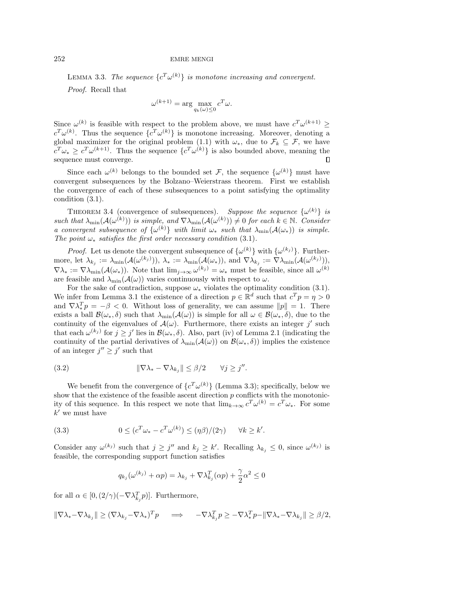LEMMA 3.3. The sequence  $\{c^T\omega^{(k)}\}$  is monotone increasing and convergent. Proof. Recall that

$$
\omega^{(k+1)} = \arg \max_{q_k(\omega) \le 0} c^T \omega.
$$

Since  $\omega^{(k)}$  is feasible with respect to the problem above, we must have  $c^T \omega^{(k+1)} \geq$  $c^T \omega^{(k)}$ . Thus the sequence  $\{c^T \omega^{(k)}\}$  is monotone increasing. Moreover, denoting a global maximizer for the original problem [\(1.1\)](#page-0-0) with  $\omega_*$ , due to  $\mathcal{F}_k \subseteq \mathcal{F}$ , we have  $c^T \omega_* \geq c^T \omega^{(k+1)}$ . Thus the sequence  $\{c^T \omega^{(k)}\}$  is also bounded above, meaning the sequence must converge.

Since each  $\omega^{(k)}$  belongs to the bounded set F, the sequence  $\{\omega^{(k)}\}$  must have convergent subsequences by the Bolzano–Weierstrass theorem. First we establish the convergence of each of these subsequences to a point satisfying the optimality condition [\(3.1\)](#page-5-2).

<span id="page-6-2"></span>THEOREM 3.4 (convergence of subsequences). Suppose the sequence  $\{\omega^{(k)}\}\$ is such that  $\lambda_{\min}(\mathcal{A}(\omega^{(k)}))$  is simple, and  $\nabla \lambda_{\min}(\mathcal{A}(\omega^{(k)})) \neq 0$  for each  $k \in \mathbb{N}$ . Consider a convergent subsequence of  $\{\omega^{(k)}\}\$  with limit  $\omega_*$  such that  $\lambda_{\min}(\mathcal{A}(\omega_*))$  is simple. The point  $\omega_*$  satisfies the first order necessary condition [\(3.1\)](#page-5-2).

*Proof.* Let us denote the convergent subsequence of  $\{\omega^{(k)}\}$  with  $\{\omega^{(k_j)}\}$ . Furthermore, let  $\lambda_{k_j} := \lambda_{\min}(\mathcal{A}(\omega^{(k_j)})), \lambda_* := \lambda_{\min}(\mathcal{A}(\omega_*)),$  and  $\nabla \lambda_{k_j} := \nabla \lambda_{\min}(\mathcal{A}(\omega^{(k_j)})),$  $\nabla \lambda_* := \nabla \lambda_{\min}(\mathcal{A}(\omega_*)).$  Note that  $\lim_{j\to\infty} \omega^{(k_j)} = \omega_*$  must be feasible, since all  $\omega^{(k)}$ are feasible and  $\lambda_{\min}(\mathcal{A}(\omega))$  varies continuously with respect to  $\omega$ .

For the sake of contradiction, suppose  $\omega_*$  violates the optimality condition [\(3.1\)](#page-5-2). We infer from Lemma [3.1](#page-5-3) the existence of a direction  $p \in \mathbb{R}^d$  such that  $c^T p = \eta > 0$ and  $\nabla \lambda_*^T p = -\beta < 0$ . Without loss of generality, we can assume  $||p|| = 1$ . There exists a ball  $\mathcal{B}(\omega_*, \delta)$  such that  $\lambda_{\min}(\mathcal{A}(\omega))$  is simple for all  $\omega \in \mathcal{B}(\omega_*, \delta)$ , due to the continuity of the eigenvalues of  $\mathcal{A}(\omega)$ . Furthermore, there exists an integer j' such that each  $\omega^{(k_j)}$  for  $j \geq j'$  lies in  $\mathcal{B}(\omega_*, \delta)$ . Also, part (iv) of Lemma [2.1](#page-2-1) (indicating the continuity of the partial derivatives of  $\lambda_{\min}(\mathcal{A}(\omega))$  on  $\mathcal{B}(\omega_*,\delta)$  implies the existence of an integer  $j'' \geq j'$  such that

<span id="page-6-0"></span>(3.2) 
$$
\|\nabla\lambda_* - \nabla\lambda_{k_j}\| \le \beta/2 \quad \forall j \ge j''.
$$

We benefit from the convergence of  ${c^T \omega^{(k)}}$  (Lemma [3.3\)](#page-5-4); specifically, below we show that the existence of the feasible ascent direction  $p$  conflicts with the monotonicity of this sequence. In this respect we note that  $\lim_{k\to\infty} c^T \omega^{(k)} = c^T \omega_*$ . For some  $k'$  we must have

(3.3) 
$$
0 \leq (c^T \omega_* - c^T \omega^{(k)}) \leq (\eta \beta)/(2\gamma) \quad \forall k \geq k'.
$$

Consider any  $\omega^{(k_j)}$  such that  $j \geq j''$  and  $k_j \geq k'$ . Recalling  $\lambda_{k_j} \leq 0$ , since  $\omega^{(k_j)}$  is feasible, the corresponding support function satisfies

<span id="page-6-1"></span>
$$
q_{k_j}(\omega^{(k_j)} + \alpha p) = \lambda_{k_j} + \nabla \lambda_{k_j}^T(\alpha p) + \frac{\gamma}{2} \alpha^2 \le 0
$$

for all  $\alpha \in [0, (2/\gamma)(-\nabla \lambda_{k_j}^T p)]$ . Furthermore,

$$
\|\nabla\lambda_* - \nabla\lambda_{k_j}\| \geq (\nabla\lambda_{k_j} - \nabla\lambda_*)^T p \quad \Longrightarrow \quad -\nabla\lambda_{k_j}^T p \geq -\nabla\lambda_*^T p - \|\nabla\lambda_* - \nabla\lambda_{k_j}\| \geq \beta/2,
$$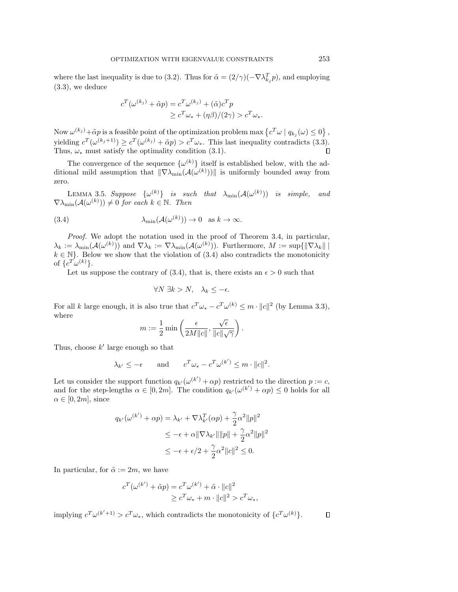where the last inequality is due to [\(3.2\)](#page-6-0). Thus for  $\tilde{\alpha} = (2/\gamma)(-\nabla \lambda_{kj}^T p)$ , and employing [\(3.3\)](#page-6-1), we deduce

$$
c^T(\omega^{(k_j)} + \tilde{\alpha}p) = c^T \omega^{(k_j)} + (\tilde{\alpha})c^T p
$$
  
\n
$$
\geq c^T \omega_* + (\eta \beta)/(2\gamma) > c^T \omega_*.
$$

Now  $\omega^{(k_j)} + \tilde{\alpha} p$  is a feasible point of the optimization problem max  $\{c^T \omega \mid q_{k_j}(\omega) \leq 0\},$ yielding  $c^T(\omega^{(k_j+1)}) \geq c^T(\omega^{(k_j)} + \tilde{\alpha}p) > c^T\omega_*$ . This last inequality contradicts [\(3.3\)](#page-6-1). Thus,  $\omega_*$  must satisfy the optimality condition [\(3.1\)](#page-5-2).  $\Box$ 

The convergence of the sequence  $\{\omega^{(k)}\}$  itself is established below, with the additional mild assumption that  $\|\nabla\lambda_{\min}(\mathcal{A}(\omega^{(k)}))\|$  is uniformly bounded away from zero.

<span id="page-7-1"></span>LEMMA 3.5. Suppose  $\{\omega^{(k)}\}$  is such that  $\lambda_{\min}(\mathcal{A}(\omega^{(k)}))$  is simple, and  $\nabla \lambda_{\min}(\mathcal{A}(\omega^{(k)})) \neq 0$  for each  $k \in \mathbb{N}$ . Then

(3.4) 
$$
\lambda_{\min}(\mathcal{A}(\omega^{(k)})) \to 0 \text{ as } k \to \infty.
$$

Proof. We adopt the notation used in the proof of Theorem [3.4,](#page-6-2) in particular,  $\lambda_k := \lambda_{\min}(\mathcal{A}(\omega^{(k)}))$  and  $\nabla \lambda_k := \nabla \lambda_{\min}(\mathcal{A}(\omega^{(k)}))$ . Furthermore,  $M := \sup\{\|\nabla \lambda_k\| \mid k\}$  $k \in \mathbb{N}$ . Below we show that the violation of [\(3.4\)](#page-7-0) also contradicts the monotonicity of  $\{c^T \omega^{(k)}\}.$ 

Let us suppose the contrary of [\(3.4\)](#page-7-0), that is, there exists an  $\epsilon > 0$  such that

<span id="page-7-0"></span>
$$
\forall N \; \exists k > N, \quad \lambda_k \le -\epsilon.
$$

For all k large enough, it is also true that  $c^T \omega_* - c^T \omega^{(k)} \leq m \cdot ||c||^2$  (by Lemma [3.3\)](#page-5-4), where √

$$
m := \frac{1}{2} \min \left( \frac{\epsilon}{2M ||c||}, \frac{\sqrt{\epsilon}}{||c||\sqrt{\gamma}} \right).
$$

Thus, choose  $k'$  large enough so that

$$
\lambda_{k'} \le -\epsilon
$$
 and  $c^T \omega_* - c^T \omega^{(k')} \le m \cdot ||c||^2$ .

Let us consider the support function  $q_{k'}(\omega^{(k')} + \alpha p)$  restricted to the direction  $p := c$ , and for the step-lengths  $\alpha \in [0, 2m]$ . The condition  $q_{k'}(\omega^{(k')} + \alpha p) \leq 0$  holds for all  $\alpha \in [0, 2m]$ , since

$$
q_{k'}(\omega^{(k')} + \alpha p) = \lambda_{k'} + \nabla \lambda_{k'}^T(\alpha p) + \frac{\gamma}{2} \alpha^2 ||p||^2
$$
  
\n
$$
\leq -\epsilon + \alpha ||\nabla \lambda_{k'}|| ||p|| + \frac{\gamma}{2} \alpha^2 ||p||^2
$$
  
\n
$$
\leq -\epsilon + \epsilon/2 + \frac{\gamma}{2} \alpha^2 ||c||^2 \leq 0.
$$

In particular, for  $\tilde{\alpha} := 2m$ , we have

$$
c^T(\omega^{(k')} + \tilde{\alpha}p) = c^T \omega^{(k')} + \tilde{\alpha} \cdot ||c||^2
$$
  
\n
$$
\geq c^T \omega_* + m \cdot ||c||^2 > c^T \omega_*,
$$

<span id="page-7-2"></span>implying  $c^T \omega^{(k'+1)} > c^T \omega_*$ , which contradicts the monotonicity of  $\{c^T \omega^{(k)}\}.$  $\Box$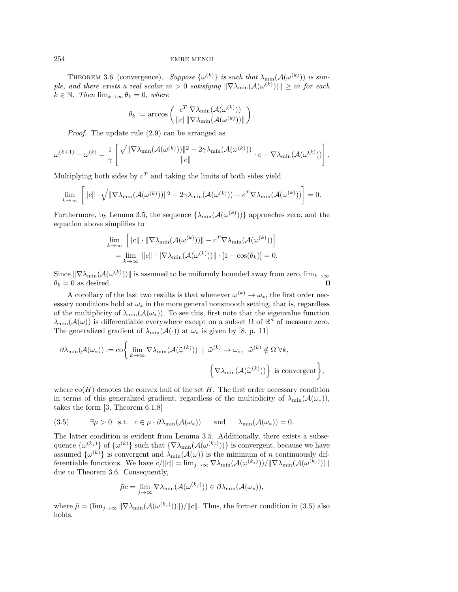THEOREM 3.6 (convergence). Suppose  $\{\omega^{(k)}\}\$ is such that  $\lambda_{\min}(\mathcal{A}(\omega^{(k)}))$  is simple, and there exists a real scalar  $m > 0$  satisfying  $\|\nabla \lambda_{\min}(\mathcal{A}(\omega^{(k)}))\| \geq m$  for each  $k \in \mathbb{N}$ . Then  $\lim_{k \to \infty} \theta_k = 0$ , where

$$
\theta_k := \arccos\left(\frac{c^T \; \nabla \lambda_{\min}(\mathcal{A}(\omega^{(k)}))}{\|c\| \|\nabla \lambda_{\min}(\mathcal{A}(\omega^{(k)}))\|}\right).
$$

Proof. The update rule [\(2.9\)](#page-5-1) can be arranged as

$$
\omega^{(k+1)} - \omega^{(k)} = \frac{1}{\gamma} \left[ \frac{\sqrt{\|\nabla\lambda_{\min}(\mathcal{A}(\omega^{(k)}))\|^2 - 2\gamma\lambda_{\min}(\mathcal{A}(\omega^{(k)}))}}{\|c\|} \cdot c - \nabla\lambda_{\min}(\mathcal{A}(\omega^{(k)})) \right].
$$

Multiplying both sides by  $c^T$  and taking the limits of both sides yield

$$
\lim_{k \to \infty} \left[ ||c|| \cdot \sqrt{||\nabla \lambda_{\min}(\mathcal{A}(\omega^{(k)}))||^2 - 2\gamma \lambda_{\min}(\mathcal{A}(\omega^{(k)}))} - c^T \nabla \lambda_{\min}(\mathcal{A}(\omega^{(k)})) \right] = 0.
$$

Furthermore, by Lemma [3.5,](#page-7-1) the sequence  $\{\lambda_{\min}(\mathcal{A}(\omega^{(k)}))\}\$  approaches zero, and the equation above simplifies to

$$
\lim_{k \to \infty} \left[ ||c|| \cdot ||\nabla \lambda_{\min}(\mathcal{A}(\omega^{(k)}))|| - c^T \nabla \lambda_{\min}(\mathcal{A}(\omega^{(k)})) \right]
$$
  
= 
$$
\lim_{k \to \infty} ||c|| \cdot ||\nabla \lambda_{\min}(\mathcal{A}(\omega^{(k)}))|| \cdot [1 - \cos(\theta_k)] = 0.
$$

Since  $\|\nabla\lambda_{\min}(\mathcal{A}(\omega^{(k)}))\|$  is assumed to be uniformly bounded away from zero,  $\lim_{k\to\infty}$  $\theta_k = 0$  as desired.  $\Box$ 

A corollary of the last two results is that whenever  $\omega^{(k)} \to \omega_*$ , the first order necessary conditions hold at  $\omega_*$  in the more general nonsmooth setting, that is, regardless of the multiplicity of  $\lambda_{\min}(\mathcal{A}(\omega_*))$ . To see this, first note that the eigenvalue function  $\lambda_{\min}(\mathcal{A}(\omega))$  is differentiable everywhere except on a subset  $\Omega$  of  $\mathbb{R}^d$  of measure zero. The generalized gradient of  $\lambda_{\min}(\mathcal{A}(\cdot))$  at  $\omega_*$  is given by [\[8,](#page-22-13) p. 11]

$$
\partial \lambda_{\min}(\mathcal{A}(\omega_{*})) := \text{co} \bigg\{ \lim_{k \to \infty} \nabla \lambda_{\min}(\mathcal{A}(\tilde{\omega}^{(k)})) \mid \tilde{\omega}^{(k)} \to \omega_{*}, \ \tilde{\omega}^{(k)} \notin \Omega \ \forall k, \bigg\{ \nabla \lambda_{\min}(\mathcal{A}(\tilde{\omega}^{(k)})) \bigg\} \ \text{is convergent} \bigg\},
$$

where  $\text{co}(H)$  denotes the convex hull of the set H. The first order necessary condition in terms of this generalized gradient, regardless of the multiplicity of  $\lambda_{\min}(\mathcal{A}(\omega_*)$ , takes the form [\[3,](#page-22-15) Theorem 6.1.8]

<span id="page-8-0"></span>(3.5) 
$$
\exists \mu > 0 \text{ s.t. } c \in \mu \cdot \partial \lambda_{\min}(\mathcal{A}(\omega_{*})) \text{ and } \lambda_{\min}(\mathcal{A}(\omega_{*})) = 0.
$$

The latter condition is evident from Lemma [3.5.](#page-7-1) Additionally, there exists a subsequence  $\{\omega^{(k_j)}\}$  of  $\{\omega^{(k)}\}$  such that  $\{\nabla \lambda_{\min}(\mathcal{A}(\omega^{(k_j)}))\}$  is convergent, because we have assumed  $\{\omega^{(k)}\}$  is convergent and  $\lambda_{\min}(\mathcal{A}(\omega))$  is the minimum of n continuously differentiable functions. We have  $c/||c|| = \lim_{j \to \infty} \nabla \lambda_{\min}(\mathcal{A}(\omega^{(k_j)}))/\|\nabla \lambda_{\min}(\mathcal{A}(\omega^{(k_j)}))\|$ due to Theorem [3.6.](#page-7-2) Consequently,

$$
\tilde{\mu}c = \lim_{j \to \infty} \nabla \lambda_{\min}(\mathcal{A}(\omega^{(k_j)})) \in \partial \lambda_{\min}(\mathcal{A}(\omega_*)),
$$

where  $\tilde{\mu} = (\lim_{j \to \infty} || \nabla \lambda_{\min} (A(\omega^{(k_j)})) ||) / ||c||$ . Thus, the former condition in [\(3.5\)](#page-8-0) also holds.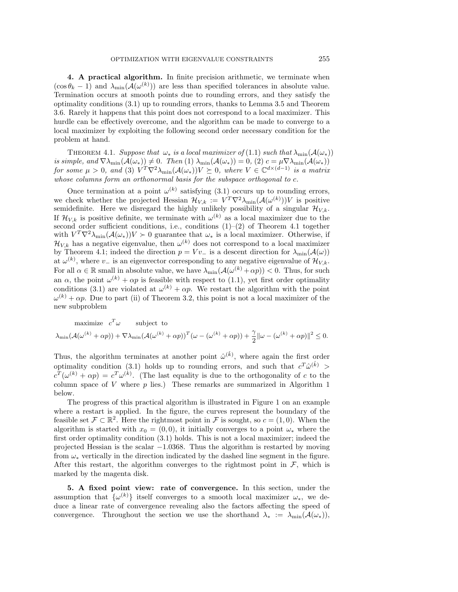<span id="page-9-0"></span>4. A practical algorithm. In finite precision arithmetic, we terminate when  $(\cos \theta_k - 1)$  and  $\lambda_{\min}(\mathcal{A}(\omega^{(k)}))$  are less than specified tolerances in absolute value. Termination occurs at smooth points due to rounding errors, and they satisfy the optimality conditions [\(3.1\)](#page-5-2) up to rounding errors, thanks to Lemma [3.5](#page-7-1) and Theorem [3.6.](#page-7-2) Rarely it happens that this point does not correspond to a local maximizer. This hurdle can be effectively overcome, and the algorithm can be made to converge to a local maximizer by exploiting the following second order necessary condition for the problem at hand.

<span id="page-9-2"></span>THEOREM 4.1. Suppose that  $\omega_*$  is a local maximizer of [\(1.1\)](#page-0-0) such that  $\lambda_{\min}(\mathcal{A}(\omega_*)$ is simple, and  $\nabla \lambda_{\min}(\mathcal{A}(\omega_*)) \neq 0$ . Then  $(1) \lambda_{\min}(\mathcal{A}(\omega_*)) = 0$ ,  $(2)$   $c = \mu \nabla \lambda_{\min}(\mathcal{A}(\omega_*))$ for some  $\mu > 0$ , and (3)  $V^T \nabla^2 \lambda_{\min}(\mathcal{A}(\omega_*)) V \succeq 0$ , where  $V \in \mathbb{C}^{d \times (d-1)}$  is a matrix whose columns form an orthonormal basis for the subspace orthogonal to c.

Once termination at a point  $\omega^{(k)}$  satisfying [\(3.1\)](#page-5-2) occurs up to rounding errors, we check whether the projected Hessian  $\mathcal{H}_{V,k} := V^T \nabla^2 \lambda_{\min}(\mathcal{A}(\omega^{(k)})) V$  is positive semidefinite. Here we disregard the highly unlikely possibility of a singular  $\mathcal{H}_{V,k}$ . If  $\mathcal{H}_{V,k}$  is positive definite, we terminate with  $\omega^{(k)}$  as a local maximizer due to the second order sufficient conditions, i.e., conditions  $(1)-(2)$  of Theorem [4.1](#page-9-2) together with  $V^T \nabla^2 \lambda_{\min}(\mathcal{A}(\omega_*)) V \succ 0$  guarantee that  $\omega_*$  is a local maximizer. Otherwise, if  $\mathcal{H}_{V,k}$  has a negative eigenvalue, then  $\omega^{(k)}$  does not correspond to a local maximizer by Theorem [4.1;](#page-9-2) indeed the direction  $p = Vv_-\$  is a descent direction for  $\lambda_{\min}(\mathcal{A}(\omega))$ at  $\omega^{(k)}$ , where  $v_{-}$  is an eigenvector corresponding to any negative eigenvalue of  $\mathcal{H}_{V,k}$ . For all  $\alpha \in \mathbb{R}$  small in absolute value, we have  $\lambda_{\min}(\mathcal{A}(\omega^{(k)} + \alpha p)) < 0$ . Thus, for such an  $\alpha$ , the point  $\omega^{(k)} + \alpha p$  is feasible with respect to [\(1.1\)](#page-0-0), yet first order optimality conditions [\(3.1\)](#page-5-2) are violated at  $\omega^{(k)} + \alpha p$ . We restart the algorithm with the point  $\omega^{(k)} + \alpha p$ . Due to part (ii) of Theorem [3.2,](#page-5-5) this point is not a local maximizer of the new subproblem

maximize 
$$
c^T \omega
$$
 subject to  
\n
$$
\lambda_{\min}(\mathcal{A}(\omega^{(k)} + \alpha p)) + \nabla \lambda_{\min}(\mathcal{A}(\omega^{(k)} + \alpha p))^T (\omega - (\omega^{(k)} + \alpha p)) + \frac{\gamma}{2} ||\omega - (\omega^{(k)} + \alpha p)||^2 \le 0.
$$

Thus, the algorithm terminates at another point  $\hat{\omega}^{(\hat{k})}$ , where again the first order optimality condition [\(3.1\)](#page-5-2) holds up to rounding errors, and such that  $c^T\hat{\omega}^{(\hat{k})} >$  $c^T(\omega^{(k)} + \alpha p) = c^T \omega^{(k)}$ . (The last equality is due to the orthogonality of c to the column space of V where  $p$  lies.) These remarks are summarized in Algorithm [1](#page-10-0) below.

The progress of this practical algorithm is illustrated in Figure [1](#page-11-0) on an example where a restart is applied. In the figure, the curves represent the boundary of the feasible set  $\mathcal{F} \subset \mathbb{R}^2$ . Here the rightmost point in  $\mathcal{F}$  is sought, so  $c = (1,0)$ . When the algorithm is started with  $x_0 = (0, 0)$ , it initially converges to a point  $\omega_*$  where the first order optimality condition [\(3.1\)](#page-5-2) holds. This is not a local maximizer; indeed the projected Hessian is the scalar −1.0368. Thus the algorithm is restarted by moving from  $\omega_*$  vertically in the direction indicated by the dashed line segment in the figure. After this restart, the algorithm converges to the rightmost point in  $\mathcal{F}$ , which is marked by the magenta disk.

<span id="page-9-1"></span>5. A fixed point view: rate of convergence. In this section, under the assumption that  $\{\omega^{(k)}\}$  itself converges to a smooth local maximizer  $\omega_*$ , we deduce a linear rate of convergence revealing also the factors affecting the speed of convergence. Throughout the section we use the shorthand  $\lambda_* := \lambda_{\min}(\mathcal{A}(\omega_*)),$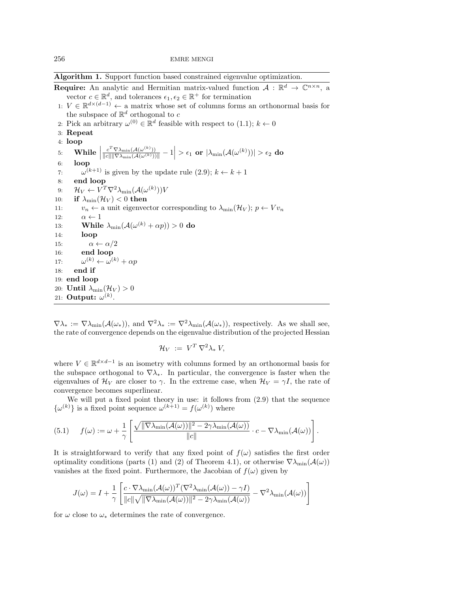Algorithm 1. Support function based constrained eigenvalue optimization.

**Require:** An analytic and Hermitian matrix-valued function  $A : \mathbb{R}^d \to \mathbb{C}^{n \times n}$ , a vector  $c \in \mathbb{R}^d$ , and tolerances  $\epsilon_1, \epsilon_2 \in \mathbb{R}^+$  for termination

- 1:  $V \in \mathbb{R}^{d \times (d-1)}$  ← a matrix whose set of columns forms an orthonormal basis for the subspace of  $\mathbb{R}^d$  orthogonal to c
- 2: Pick an arbitrary  $\omega^{(0)} \in \mathbb{R}^d$  feasible with respect to [\(1.1\)](#page-0-0);  $k \leftarrow 0$
- 3: Repeat
- 4: loop

 $5: \quad \textbf{While} \Big|$  $\frac{c^T \nabla \lambda_{\min}(\mathcal{A}(\omega^{(k)}))}{\|c\| \|\nabla \lambda_{\min}(\mathcal{A}(\omega^{(k)}))\|}-1 \Big| > \epsilon_1 \textbf{ or } |\lambda_{\min}(\mathcal{A}(\omega^{(k)}))| > \epsilon_2 \textbf{ do}$ 6: loop

- 7:  $\omega^{(k+1)}$  is given by the update rule [\(2](#page-5-1).9);  $k \leftarrow k+1$
- 8: end loop
- 9:  $\mathcal{H}_V \leftarrow V^T \nabla^2 \lambda_{\min}(\mathcal{A}(\omega^{(k)})) V$
- 10: if  $\lambda_{\min}(\mathcal{H}_V) < 0$  then

20: Until  $\lambda_{\min}(\mathcal{H}_V) > 0$ 21: Output:  $\omega^{(k)}$ .

11:  $v_n \leftarrow$  a unit eigenvector corresponding to  $\lambda_{\min}(\mathcal{H}_V)$ ;  $p \leftarrow V v_n$ 12:  $\alpha \leftarrow 1$ 13: While  $\lambda_{\min}(\mathcal{A}(\omega^{(k)}+\alpha p))>0$  do 14: loop 15:  $\alpha \leftarrow \alpha/2$ 16: end loop 17: ω  $(k) \leftarrow \omega^{(k)} + \alpha p$ 18: end if 19: end loop

<span id="page-10-0"></span> $\nabla \lambda_* := \nabla \lambda_{\min}(\mathcal{A}(\omega_*))$ , and  $\nabla^2 \lambda_* := \nabla^2 \lambda_{\min}(\mathcal{A}(\omega_*))$ , respectively. As we shall see, the rate of convergence depends on the eigenvalue distribution of the projected Hessian

$$
\mathcal{H}_V := V^T \nabla^2 \lambda_* V,
$$

where  $V \in \mathbb{R}^{d \times d-1}$  is an isometry with columns formed by an orthonormal basis for the subspace orthogonal to  $\nabla \lambda_{*}$ . In particular, the convergence is faster when the eigenvalues of  $\mathcal{H}_V$  are closer to  $\gamma$ . In the extreme case, when  $\mathcal{H}_V = \gamma I$ , the rate of convergence becomes superlinear.

We will put a fixed point theory in use: it follows from [\(2.9\)](#page-5-1) that the sequence  $\{\omega^{(k)}\}$  is a fixed point sequence  $\omega^{(k+1)} = f(\omega^{(k)})$  where

(5.1) 
$$
f(\omega) := \omega + \frac{1}{\gamma} \left[ \frac{\sqrt{\|\nabla \lambda_{\min}(\mathcal{A}(\omega))\|^2 - 2\gamma \lambda_{\min}(\mathcal{A}(\omega))}}{\|c\|} \cdot c - \nabla \lambda_{\min}(\mathcal{A}(\omega)) \right].
$$

It is straightforward to verify that any fixed point of  $f(\omega)$  satisfies the first order optimality conditions (parts (1) and (2) of Theorem [4.1\)](#page-9-2), or otherwise  $\nabla \lambda_{\min}(\mathcal{A}(\omega))$ vanishes at the fixed point. Furthermore, the Jacobian of  $f(\omega)$  given by

$$
J(\omega) = I + \frac{1}{\gamma} \left[ \frac{c \cdot \nabla \lambda_{\min} (\mathcal{A}(\omega))^T (\nabla^2 \lambda_{\min} (\mathcal{A}(\omega)) - \gamma I)}{\|c\| \sqrt{\|\nabla \lambda_{\min} (\mathcal{A}(\omega))\|^2 - 2\gamma \lambda_{\min} (\mathcal{A}(\omega))}} - \nabla^2 \lambda_{\min} (\mathcal{A}(\omega)) \right]
$$

for  $\omega$  close to  $\omega_*$  determines the rate of convergence.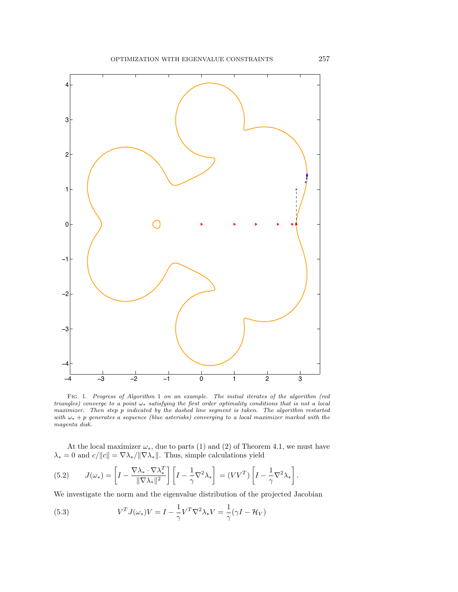<span id="page-11-0"></span>

Fig. 1. Progress of Algorithm [1](#page-10-0) on an example. The initial iterates of the algorithm (red triangles) converge to a point ω∗ satisfying the first order optimality conditions that is not a local maximizer. Then step p indicated by the dashed line segment is taken. The algorithm restarted with  $\omega_*$  + p generates a sequence (blue asterisks) converging to a local maximizer marked with the magenta disk.

At the local maximizer  $\omega_*$ , due to parts (1) and (2) of Theorem [4.1,](#page-9-2) we must have  $\lambda_*=0$  and  $c/\|c\|=\nabla\lambda_*/\|\nabla\lambda_*\|.$  Thus, simple calculations yield

(5.2) 
$$
J(\omega_*) = \left[I - \frac{\nabla \lambda_* \cdot \nabla \lambda_*^T}{\|\nabla \lambda_*\|^2}\right] \left[I - \frac{1}{\gamma} \nabla^2 \lambda_*\right] = (V V^T) \left[I - \frac{1}{\gamma} \nabla^2 \lambda_*\right].
$$

We investigate the norm and the eigenvalue distribution of the projected Jacobian

<span id="page-11-1"></span>(5.3) 
$$
V^T J(\omega_*) V = I - \frac{1}{\gamma} V^T \nabla^2 \lambda_* V = \frac{1}{\gamma} (\gamma I - \mathcal{H}_V)
$$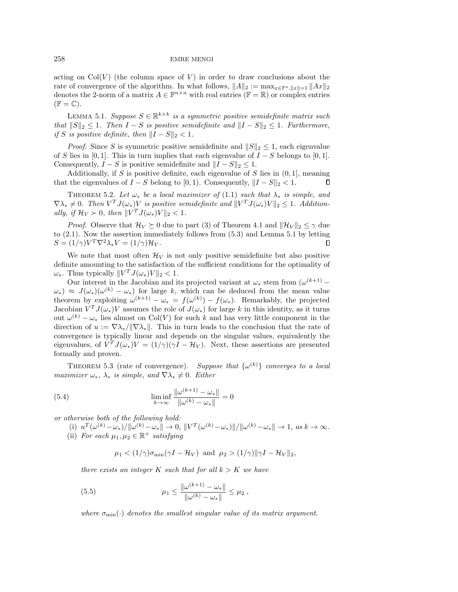acting on  $Col(V)$  (the column space of V) in order to draw conclusions about the rate of convergence of the algorithm. In what follows,  $||A||_2 := \max_{x \in \mathbb{F}^n, ||x|| = 1} ||Ax||_2$ denotes the 2-norm of a matrix  $A \in \mathbb{F}^{n \times n}$  with real entries  $(\mathbb{F} = \mathbb{R})$  or complex entries  $(\mathbb{F} = \mathbb{C}).$ 

<span id="page-12-0"></span>LEMMA 5.1. Suppose  $S \in \mathbb{R}^{k \times k}$  is a symmetric positive semidefinite matrix such that  $||S||_2 \leq 1$ . Then  $I - S$  is positive semidefinite and  $||I - S||_2 \leq 1$ . Furthermore, if S is positive definite, then  $||I - S||_2 < 1$ .

*Proof.* Since S is symmetric positive semidefinite and  $||S||_2 \leq 1$ , each eigenvalue of S lies in [0, 1]. This in turn implies that each eigenvalue of  $I - S$  belongs to [0, 1]. Consequently,  $I - S$  is positive semidefinite and  $||I - S||_2 \leq 1$ .

Additionally, if S is positive definite, each eigenvalue of S lies in  $(0, 1]$ , meaning that the eigenvalues of  $I - S$  belong to [0, 1). Consequently,  $||I - S||_2 < 1$ .  $\Box$ 

THEOREM 5.2. Let  $\omega_*$  be a local maximizer of [\(1.1\)](#page-0-0) such that  $\lambda_*$  is simple, and  $\nabla \lambda_* \neq 0$ . Then  $V^T J(\omega_*) V$  is positive semidefinite and  $||V^T J(\omega_*) V||_2 \leq 1$ . Additionally, if  $\mathcal{H}_V \succ 0$ , then  $\|V^T J(\omega_*) V\|_2 < 1$ .

*Proof.* Observe that  $\mathcal{H}_V \succeq 0$  due to part (3) of Theorem [4.1](#page-9-2) and  $\|\mathcal{H}_V\|_2 \leq \gamma$  due to [\(2.1\)](#page-2-0). Now the assertion immediately follows from [\(5.3\)](#page-11-1) and Lemma [5.1](#page-12-0) by letting  $S = (1/\gamma)V^T\nabla^2\lambda_*V = (1/\gamma)\mathcal{H}_V.$  $\Box$ 

We note that most often  $\mathcal{H}_V$  is not only positive semidefinite but also positive definite amounting to the satisfaction of the sufficient conditions for the optimality of  $\omega_*$ . Thus typically  $||V^T J(\omega_*)V||_2 < 1$ .

Our interest in the Jacobian and its projected variant at  $\omega_*$  stem from  $(\omega^{(k+1)} (\omega_*) \approx J(\omega_*) (\omega^{(k)} - \omega_*)$  for large k, which can be deduced from the mean value theorem by exploiting  $\omega^{(k+1)} - \omega_* = f(\omega^{(k)}) - f(\omega_*)$ . Remarkably, the projected Jacobian  $V^T J(\omega_*) V$  assumes the role of  $J(\omega_*)$  for large k in this identity, as it turns out  $\omega^{(k)} - \omega_*$  lies almost on Col(V) for such k and has very little component in the direction of  $u := \nabla \lambda_* / ||\nabla \lambda_*||$ . This in turn leads to the conclusion that the rate of convergence is typically linear and depends on the singular values, equivalently the eigenvalues, of  $V^T J(\omega_*) V = (1/\gamma)(\gamma I - \mathcal{H}_V)$ . Next, these assertions are presented formally and proven.

<span id="page-12-2"></span>THEOREM 5.3 (rate of convergence). Suppose that  $\{\omega^{(k)}\}$  converges to a local maximizer  $\omega_*$ ,  $\lambda_*$  is simple, and  $\nabla \lambda_* \neq 0$ . Either

(5.4) 
$$
\liminf_{k \to \infty} \frac{\|\omega^{(k+1)} - \omega_*\|}{\|\omega^{(k)} - \omega_*\|} = 0
$$

or otherwise both of the following hold:

(i)  $u^T(\omega^{(k)} - \omega_*) / ||\omega^{(k)} - \omega_*|| \to 0, ||V^T(\omega^{(k)} - \omega_*)|| / ||\omega^{(k)} - \omega_*|| \to 1, \text{ as } k \to \infty.$ 

(ii) For each  $\mu_1, \mu_2 \in \mathbb{R}^+$  satisfying

<span id="page-12-1"></span>
$$
\mu_1 < (1/\gamma)\sigma_{\min}(\gamma I - \mathcal{H}_V)
$$
 and  $\mu_2 > (1/\gamma)\|\gamma I - \mathcal{H}_V\|_2$ ,

there exists an integer K such that for all  $k > K$  we have

(5.5) 
$$
\mu_1 \leq \frac{\|\omega^{(k+1)} - \omega_*\|}{\|\omega^{(k)} - \omega_*\|} \leq \mu_2,
$$

where  $\sigma_{\min}(\cdot)$  denotes the smallest singular value of its matrix argument.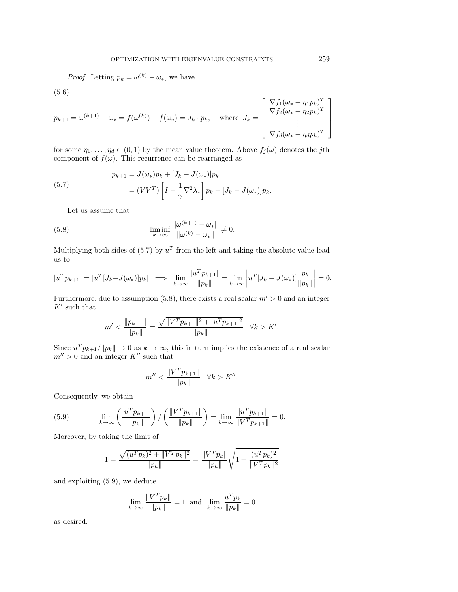*Proof.* Letting 
$$
p_k = \omega^{(k)} - \omega_*
$$
, we have

(5.6)  
\n
$$
p_{k+1} = \omega^{(k+1)} - \omega_* = f(\omega^{(k)}) - f(\omega_*) = J_k \cdot p_k, \quad \text{where } J_k = \begin{bmatrix} \nabla f_1(\omega_* + \eta_1 p_k)^T \\ \nabla f_2(\omega_* + \eta_2 p_k)^T \\ \n\vdots \\ \nabla f_d(\omega_* + \eta_d p_k)^T \n\end{bmatrix}
$$

for some  $\eta_1, \ldots, \eta_d \in (0, 1)$  by the mean value theorem. Above  $f_j(\omega)$  denotes the jth component of  $f(\omega)$ . This recurrence can be rearranged as

<span id="page-13-0"></span>(5.7) 
$$
p_{k+1} = J(\omega_*)p_k + [J_k - J(\omega_*)]p_k
$$

$$
= (VV^T) \left[ I - \frac{1}{\gamma} \nabla^2 \lambda_* \right] p_k + [J_k - J(\omega_*)]p_k.
$$

<span id="page-13-1"></span>Let us assume that

(5.8) 
$$
\liminf_{k \to \infty} \frac{\|\omega^{(k+1)} - \omega_*\|}{\|\omega^{(k)} - \omega_*\|} \neq 0.
$$

Multiplying both sides of [\(5.7\)](#page-13-0) by  $u<sup>T</sup>$  from the left and taking the absolute value lead us to

$$
|u^T p_{k+1}| = |u^T [J_k - J(\omega_*)] p_k| \implies \lim_{k \to \infty} \frac{|u^T p_{k+1}|}{\|p_k\|} = \lim_{k \to \infty} \left| u^T [J_k - J(\omega_*)] \frac{p_k}{\|p_k\|} \right| = 0.
$$

Furthermore, due to assumption [\(5.8\)](#page-13-1), there exists a real scalar  $m' > 0$  and an integer  $K'$  such that

$$
m' < \frac{\|p_{k+1}\|}{\|p_k\|} = \frac{\sqrt{\|V^T p_{k+1}\|^2 + |u^T p_{k+1}|^2}}{\|p_k\|} \quad \forall k > K'.
$$

Since  $u^T p_{k+1}/\|p_k\| \to 0$  as  $k \to \infty$ , this in turn implies the existence of a real scalar  $m'' > 0$  and an integer  $K''$  such that

$$
m'' < \frac{\|V^T p_{k+1}\|}{\|p_k\|} \quad \forall k > K''.
$$

Consequently, we obtain

(5.9) 
$$
\lim_{k \to \infty} \left( \frac{|u^T p_{k+1}|}{\|p_k\|} \right) / \left( \frac{\|V^T p_{k+1}\|}{\|p_k\|} \right) = \lim_{k \to \infty} \frac{|u^T p_{k+1}|}{\|V^T p_{k+1}\|} = 0.
$$

Moreover, by taking the limit of

<span id="page-13-2"></span>
$$
1 = \frac{\sqrt{(u^T p_k)^2 + ||V^T p_k||^2}}{||p_k||} = \frac{||V^T p_k||}{||p_k||} \sqrt{1 + \frac{(u^T p_k)^2}{||V^T p_k||^2}}
$$

and exploiting [\(5.9\)](#page-13-2), we deduce

$$
\lim_{k \to \infty} \frac{\|V^T p_k\|}{\|p_k\|} = 1
$$
 and 
$$
\lim_{k \to \infty} \frac{u^T p_k}{\|p_k\|} = 0
$$

as desired.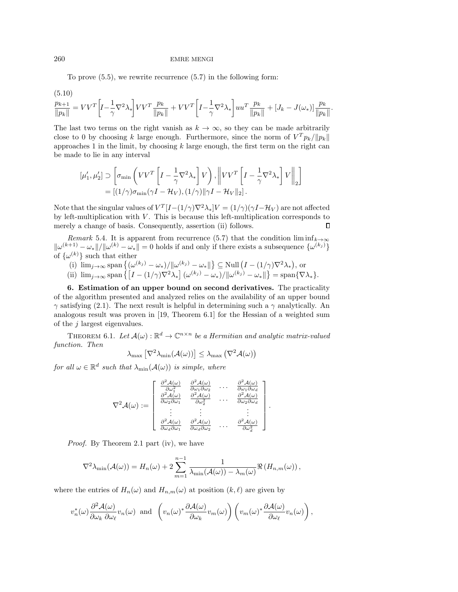To prove [\(5.5\)](#page-12-1), we rewrite recurrence [\(5.7\)](#page-13-0) in the following form:

$$
\frac{p_{k+1}}{\|p_k\|} = VV^T \left[ I - \frac{1}{\gamma} \nabla^2 \lambda_* \right] VV^T \frac{p_k}{\|p_k\|} + VV^T \left[ I - \frac{1}{\gamma} \nabla^2 \lambda_* \right] uu^T \frac{p_k}{\|p_k\|} + \left[ J_k - J(\omega_*) \right] \frac{p_k}{\|p_k\|}
$$

.

The last two terms on the right vanish as  $k \to \infty$ , so they can be made arbitrarily close to 0 by choosing k large enough. Furthermore, since the norm of  $V^T p_k / ||p_k||$ approaches 1 in the limit, by choosing  $k$  large enough, the first term on the right can be made to lie in any interval

$$
\begin{aligned} [\mu_1', \mu_2'] & \supset \left[ \sigma_{\min} \left( V V^T \left[ I - \frac{1}{\gamma} \nabla^2 \lambda_* \right] V \right), \left\| V V^T \left[ I - \frac{1}{\gamma} \nabla^2 \lambda_* \right] V \right\|_2 \right] \\ &= \left[ (1/\gamma) \sigma_{\min} (\gamma I - \mathcal{H}_V), (1/\gamma) \| \gamma I - \mathcal{H}_V \|_2 \right]. \end{aligned}
$$

Note that the singular values of  $V^T[I-(1/\gamma)\nabla^2\lambda_*]V = (1/\gamma)(\gamma I - \mathcal{H}_V)$  are not affected by left-multiplication with  $V$ . This is because this left-multiplication corresponds to merely a change of basis. Consequently, assertion (ii) follows.  $\Box$ 

Remark 5.4. It is apparent from recurrence [\(5.7\)](#page-13-0) that the condition  $\liminf_{k\to\infty}$  $\|\omega^{(k+1)} - \omega_*\|/\|\omega^{(k)} - \omega_*\| = 0$  holds if and only if there exists a subsequence  $\{\omega^{(k_j)}\}$ of  $\{\omega^{(k)}\}$  such that either

- (i)  $\lim_{j\to\infty}$  span  $\{(\omega^{(k_j)}-\omega_*)/\|\omega^{(k_j)}-\omega_*\|\}\subseteq$  Null  $(I-(1/\gamma)\nabla^2\lambda_*)$ , or
- (ii)  $\lim_{j\to\infty}$  span  $\{ \left[ I (1/\gamma)\nabla^2 \lambda_* \right] (\omega^{(k_j)} \omega_*) / ||\omega^{(k_j)} \omega_*|| \} = \text{span}\{\nabla \lambda_*\}.$

<span id="page-14-0"></span>6. Estimation of an upper bound on second derivatives. The practicality of the algorithm presented and analyzed relies on the availability of an upper bound  $\gamma$  satisfying [\(2.1\)](#page-2-0). The next result is helpful in determining such a  $\gamma$  analytically. An analogous result was proven in [\[19,](#page-22-2) Theorem 6.1] for the Hessian of a weighted sum of the  $j$  largest eigenvalues.

THEOREM 6.1. Let  $\mathcal{A}(\omega): \mathbb{R}^d \to \mathbb{C}^{n \times n}$  be a Hermitian and analytic matrix-valued function. Then

<span id="page-14-1"></span>
$$
\lambda_{\max}\left[\nabla^2 \lambda_{\min}(\mathcal{A}(\omega))\right] \leq \lambda_{\max}\left(\nabla^2 \mathcal{A}(\omega)\right)
$$

for all  $\omega \in \mathbb{R}^d$  such that  $\lambda_{\min}(\mathcal{A}(\omega))$  is simple, where

$$
\nabla^2 \mathcal{A}(\omega) := \begin{bmatrix} \frac{\partial^2 \mathcal{A}(\omega)}{\partial \omega_1^2} & \frac{\partial^2 \mathcal{A}(\omega)}{\partial \omega_1 \partial \omega_2} & \cdots & \frac{\partial^2 \mathcal{A}(\omega)}{\partial \omega_1 \partial \omega_d} \\ \frac{\partial^2 \mathcal{A}(\omega)}{\partial \omega_2 \partial \omega_1} & \frac{\partial^2 \mathcal{A}(\omega)}{\partial \omega_2^2} & \cdots & \frac{\partial^2 \mathcal{A}(\omega)}{\partial \omega_2 \partial \omega_d} \\ \vdots & \vdots & \vdots & \vdots \\ \frac{\partial^2 \mathcal{A}(\omega)}{\partial \omega_d \partial \omega_1} & \frac{\partial^2 \mathcal{A}(\omega)}{\partial \omega_d \partial \omega_2} & \cdots & \frac{\partial^2 \mathcal{A}(\omega)}{\partial \omega_d^2} \end{bmatrix}.
$$

Proof. By Theorem [2.1](#page-2-1) part (iv), we have

$$
\nabla^2 \lambda_{\min}(\mathcal{A}(\omega)) = H_n(\omega) + 2 \sum_{m=1}^{n-1} \frac{1}{\lambda_{\min}(\mathcal{A}(\omega)) - \lambda_m(\omega)} \Re(H_{n,m}(\omega)),
$$

where the entries of  $H_n(\omega)$  and  $H_{n,m}(\omega)$  at position  $(k, \ell)$  are given by

$$
v_n^*(\omega) \frac{\partial^2 \mathcal{A}(\omega)}{\partial \omega_k \partial \omega_\ell} v_n(\omega) \text{ and } \left(v_n(\omega)^* \frac{\partial \mathcal{A}(\omega)}{\partial \omega_k} v_m(\omega)\right) \left(v_m(\omega)^* \frac{\partial \mathcal{A}(\omega)}{\partial \omega_\ell} v_n(\omega)\right),
$$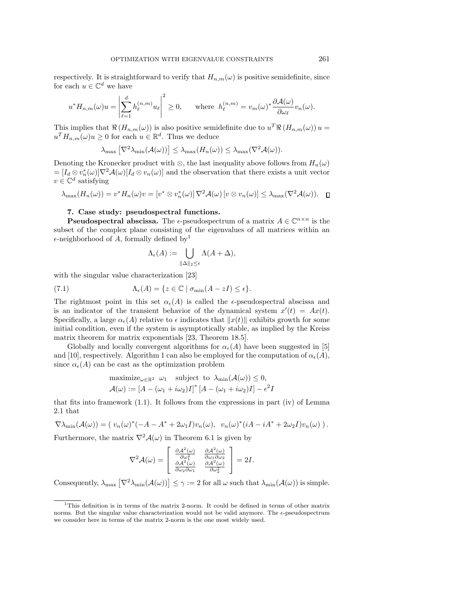respectively. It is straightforward to verify that  $H_{n,m}(\omega)$  is positive semidefinite, since for each  $u \in \mathbb{C}^d$  we have

$$
u^* H_{n,m}(\omega)u = \left| \sum_{\ell=1}^d h_{\ell}^{(n,m)} u_{\ell} \right|^2 \ge 0, \quad \text{where } h_{\ell}^{(n,m)} = v_m(\omega)^* \frac{\partial \mathcal{A}(\omega)}{\partial \omega_{\ell}} v_n(\omega).
$$

This implies that  $\Re(H_{n,m}(\omega))$  is also positive semidefinite due to  $u^T \Re(H_{n,m}(\omega)) u =$  $u^T H_{n,m}(\omega)u \geq 0$  for each  $u \in \mathbb{R}^d$ . Thus we deduce

$$
\lambda_{\max}\left[\nabla^2 \lambda_{\min}(\mathcal{A}(\omega))\right] \leq \lambda_{\max}(H_n(\omega)) \leq \lambda_{\max}(\nabla^2 \mathcal{A}(\omega)).
$$

Denoting the Kronecker product with ⊗, the last inequality above follows from  $H_n(\omega)$  $=[I_d \otimes v_n^*(\omega)]\nabla^2 \mathcal{A}(\omega)[I_d \otimes v_n(\omega)]$  and the observation that there exists a unit vector  $v \in \mathbb{C}^d$  satisfying

$$
\lambda_{\max}(H_n(\omega)) = v^* H_n(\omega)v = [v^* \otimes v_n^*(\omega)] \nabla^2 \mathcal{A}(\omega) [v \otimes v_n(\omega)] \leq \lambda_{\max}(\nabla^2 \mathcal{A}(\omega)). \quad \Box
$$

### 7. Case study: pseudospectral functions.

<span id="page-15-0"></span>**Pseudospectral abscissa.** The  $\epsilon$ -pseudospectrum of a matrix  $A \in \mathbb{C}^{n \times n}$  is the subset of the complex plane consisting of the eigenvalues of all matrices within an  $\epsilon$ -neighborhood of A, formally defined by<sup>[1](#page-15-1)</sup>

<span id="page-15-2"></span>
$$
\Lambda_\epsilon(A):=\bigcup_{\|\Delta\|_2\leq \epsilon}\Lambda(A+\Delta),
$$

with the singular value characterization [\[23\]](#page-22-0)

(7.1) 
$$
\Lambda_{\epsilon}(A) = \{ z \in \mathbb{C} \mid \sigma_{\min}(A - zI) \leq \epsilon \}.
$$

The rightmost point in this set  $\alpha_{\epsilon}(A)$  is called the  $\epsilon$ -pseudospectral abscissa and is an indicator of the transient behavior of the dynamical system  $x'(t) = Ax(t)$ . Specifically, a large  $\alpha_{\epsilon}(A)$  relative to  $\epsilon$  indicates that  $||x(t)||$  exhibits growth for some initial condition, even if the system is asymptotically stable, as implied by the Kreiss matrix theorem for matrix exponentials [\[23,](#page-22-0) Theorem 18.5].

Globally and locally convergent algorithms for  $\alpha_{\epsilon}(A)$  have been suggested in [\[5\]](#page-22-16) and [\[10\]](#page-22-17), respectively. Algorithm [1](#page-10-0) can also be employed for the computation of  $\alpha_{\epsilon}(A)$ , since  $\alpha_{\epsilon}(A)$  can be cast as the optimization problem

$$
\begin{aligned}\n\text{maximize}_{\omega \in \mathbb{R}^2} \quad \omega_1 \quad \text{subject to} \quad \lambda_{\min}(\mathcal{A}(\omega)) \le 0, \\
\mathcal{A}(\omega) &:= \left[A - (\omega_1 + i\omega_2)I\right]^* \left[A - (\omega_1 + i\omega_2)I\right] - \epsilon^2 I\n\end{aligned}
$$

that fits into framework [\(1.1\)](#page-0-0). It follows from the expressions in part (iv) of Lemma [2.1](#page-2-1) that

$$
\nabla \lambda_{\min}(\mathcal{A}(\omega)) = (v_n(\omega)^*(-A - A^* + 2\omega_1 I)v_n(\omega), v_n(\omega)^*(iA - iA^* + 2\omega_2 I)v_n(\omega)).
$$

Furthermore, the matrix  $\nabla^2 \mathcal{A}(\omega)$  in Theorem [6.1](#page-14-1) is given by

$$
\nabla^2 \mathcal{A}(\omega) = \begin{bmatrix} \frac{\partial \mathcal{A}^2(\omega)}{\partial \omega_1^2} & \frac{\partial \mathcal{A}^2(\omega)}{\partial \omega_1 \partial \omega_2} \\ \frac{\partial \mathcal{A}^2(\omega)}{\partial \omega_2 \partial \omega_1} & \frac{\partial \mathcal{A}^2(\omega)}{\partial \omega_2^2} \end{bmatrix} = 2I.
$$

Consequently,  $\lambda_{\max} \left[ \nabla^2 \lambda_{\min}(\mathcal{A}(\omega)) \right] \leq \gamma := 2$  for all  $\omega$  such that  $\lambda_{\min}(\mathcal{A}(\omega))$  is simple.

<span id="page-15-1"></span><sup>1</sup>This definition is in terms of the matrix 2-norm. It could be defined in terms of other matrix norms. But the singular value characterization would not be valid anymore. The  $\epsilon$ -pseudospectrum we consider here in terms of the matrix 2-norm is the one most widely used.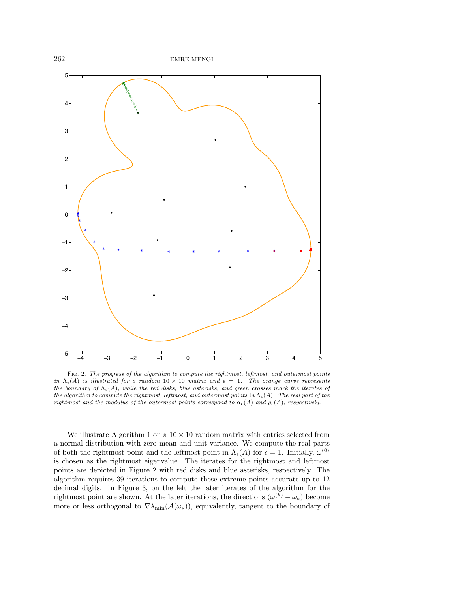<span id="page-16-0"></span>

Fig. 2. The progress of the algorithm to compute the rightmost, leftmost, and outermost points in  $\Lambda_{\epsilon}(A)$  is illustrated for a random  $10 \times 10$  matrix and  $\epsilon = 1$ . The orange curve represents the boundary of  $\Lambda_{\epsilon}(A)$ , while the red disks, blue asterisks, and green crosses mark the iterates of the algorithm to compute the rightmost, leftmost, and outermost points in  $\Lambda_{\epsilon}(A)$ . The real part of the rightmost and the modulus of the outermost points correspond to  $\alpha_{\epsilon}(A)$  and  $\rho_{\epsilon}(A)$ , respectively.

We illustrate Algorithm [1](#page-10-0) on a  $10 \times 10$  random matrix with entries selected from a normal distribution with zero mean and unit variance. We compute the real parts of both the rightmost point and the leftmost point in  $\Lambda_{\epsilon}(A)$  for  $\epsilon = 1$ . Initially,  $\omega^{(0)}$ is chosen as the rightmost eigenvalue. The iterates for the rightmost and leftmost points are depicted in Figure [2](#page-16-0) with red disks and blue asterisks, respectively. The algorithm requires 39 iterations to compute these extreme points accurate up to 12 decimal digits. In Figure [3,](#page-17-0) on the left the later iterates of the algorithm for the rightmost point are shown. At the later iterations, the directions  $(\omega^{(k)} - \omega_*)$  become more or less orthogonal to  $\nabla \lambda_{\min}(\mathcal{A}(\omega_*))$ , equivalently, tangent to the boundary of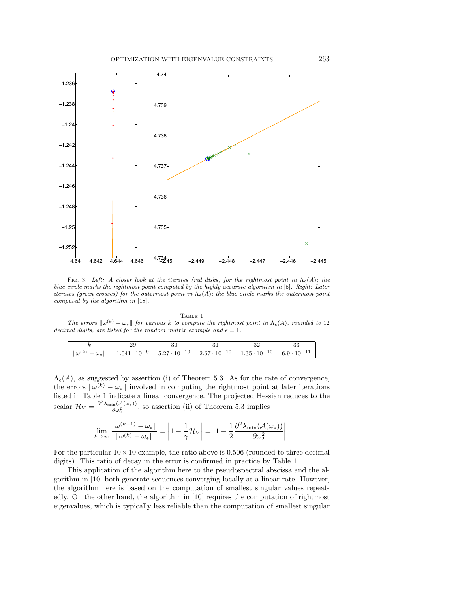<span id="page-17-0"></span>

FIG. 3. Left: A closer look at the iterates (red disks) for the rightmost point in  $\Lambda_{\epsilon}(A)$ ; the blue circle marks the rightmost point computed by the highly accurate algorithm in [\[5\]](#page-22-16). Right: Later iterates (green crosses) for the outermost point in  $\Lambda_{\epsilon}(A)$ ; the blue circle marks the outermost point computed by the algorithm in [\[18\]](#page-22-18).

### TABLE 1

<span id="page-17-1"></span>The errors  $\|\omega^{(k)} - \omega_*\|$  for various k to compute the rightmost point in  $\Lambda_{\epsilon}(A)$ , rounded to 12 decimal digits, are listed for the random matrix example and  $\epsilon = 1$ .

|                     |                                                                                                                                                      |  | 33 |
|---------------------|------------------------------------------------------------------------------------------------------------------------------------------------------|--|----|
| $\mathcal{L}^{(k)}$ | $\beta - \omega_* \ $    1.041 · 10 <sup>-9</sup> 5.27 · 10 <sup>-10</sup> 2.67 · 10 <sup>-10</sup> 1.35 · 10 <sup>-10</sup> 6.9 · 10 <sup>-11</sup> |  |    |

 $\Lambda_{\epsilon}(A)$ , as suggested by assertion (i) of Theorem [5.3.](#page-12-2) As for the rate of convergence, the errors  $\|\omega^{(k)} - \omega_*\|$  involved in computing the rightmost point at later iterations listed in Table [1](#page-17-1) indicate a linear convergence. The projected Hessian reduces to the scalar  $\mathcal{H}_V = \frac{\partial^2 \lambda_{\min}(\mathcal{A}(\omega_*))}{\partial \omega_2^2}$ , so assertion (ii) of Theorem [5.3](#page-12-2) implies

$$
\lim_{k \to \infty} \frac{\|\omega^{(k+1)} - \omega_*\|}{\|\omega^{(k)} - \omega_*\|} = \left|1 - \frac{1}{\gamma} \mathcal{H}_V\right| = \left|1 - \frac{1}{2} \frac{\partial^2 \lambda_{\min}(\mathcal{A}(\omega_*))}{\partial \omega_2^2}\right|.
$$

For the particular  $10 \times 10$  example, the ratio above is 0.506 (rounded to three decimal digits). This ratio of decay in the error is confirmed in practice by Table [1.](#page-17-1)

This application of the algorithm here to the pseudospectral abscissa and the algorithm in [\[10\]](#page-22-17) both generate sequences converging locally at a linear rate. However, the algorithm here is based on the computation of smallest singular values repeatedly. On the other hand, the algorithm in [\[10\]](#page-22-17) requires the computation of rightmost eigenvalues, which is typically less reliable than the computation of smallest singular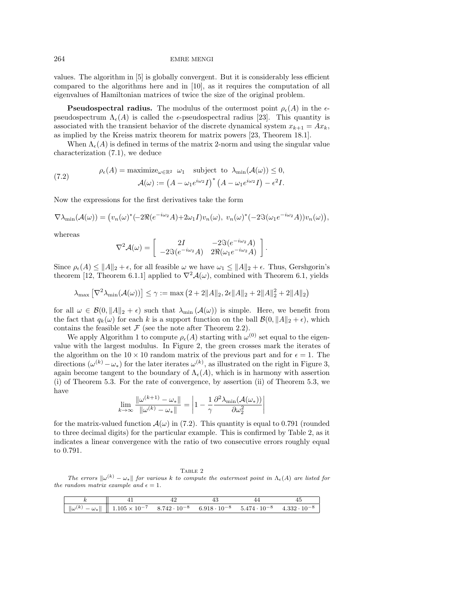values. The algorithm in [\[5\]](#page-22-16) is globally convergent. But it is considerably less efficient compared to the algorithms here and in [\[10\]](#page-22-17), as it requires the computation of all eigenvalues of Hamiltonian matrices of twice the size of the original problem.

**Pseudospectral radius.** The modulus of the outermost point  $\rho_{\epsilon}(A)$  in the  $\epsilon$ pseudospectrum  $\Lambda_{\epsilon}(A)$  is called the  $\epsilon$ -pseudospectral radius [\[23\]](#page-22-0). This quantity is associated with the transient behavior of the discrete dynamical system  $x_{k+1} = Ax_k$ , as implied by the Kreiss matrix theorem for matrix powers [\[23,](#page-22-0) Theorem 18.1].

When  $\Lambda_{\epsilon}(A)$  is defined in terms of the matrix 2-norm and using the singular value characterization [\(7.1\)](#page-15-2), we deduce

<span id="page-18-0"></span>(7.2) 
$$
\rho_{\epsilon}(A) = \text{maximize}_{\omega \in \mathbb{R}^2} \quad \omega_1 \quad \text{subject to} \quad \lambda_{\min}(\mathcal{A}(\omega)) \leq 0, \mathcal{A}(\omega) := (A - \omega_1 e^{i\omega_2} I)^* (A - \omega_1 e^{i\omega_2} I) - \epsilon^2 I.
$$

Now the expressions for the first derivatives take the form

 $\nabla \lambda_{\min}(\mathcal{A}(\omega)) = (v_n(\omega)^*(-2\Re(e^{-i\omega_2}A)+2\omega_1 I)v_n(\omega), v_n(\omega)^*(-2\Im(\omega_1 e^{-i\omega_2}A))v_n(\omega)),$ 

whereas

$$
\nabla^2 \mathcal{A}(\omega) = \begin{bmatrix} 2I & -2\Im(e^{-i\omega_2}A) \\ -2\Im(e^{-i\omega_2}A) & 2\Re(\omega_1 e^{-i\omega_2}A) \end{bmatrix}
$$

.

Since  $\rho_{\epsilon}(A) \leq ||A||_2 + \epsilon$ , for all feasible  $\omega$  we have  $\omega_1 \leq ||A||_2 + \epsilon$ . Thus, Gershgorin's theorem [\[12,](#page-22-19) Theorem 6.1.1] applied to  $\nabla^2 \mathcal{A}(\omega)$ , combined with Theorem [6.1,](#page-14-1) yields

 $\lambda_{\max}\left[\nabla^2\lambda_{\min}(\mathcal{A}(\omega))\right] \leq \gamma := \max\left(2 + 2\|A\|_2, 2\epsilon \|A\|_2 + 2\|A\|_2^2 + 2\|A\|_2\right)$ 

for all  $\omega \in \mathcal{B}(0, ||A||_2 + \epsilon)$  such that  $\lambda_{\min}(\mathcal{A}(\omega))$  is simple. Here, we benefit from the fact that  $q_k(\omega)$  for each k is a support function on the ball  $\mathcal{B}(0, ||A||_2 + \epsilon)$ , which contains the feasible set  $F$  (see the note after Theorem [2.2\)](#page-2-2).

We apply Algorithm [1](#page-10-0) to compute  $\rho_{\epsilon}(A)$  starting with  $\omega^{(0)}$  set equal to the eigenvalue with the largest modulus. In Figure [2,](#page-16-0) the green crosses mark the iterates of the algorithm on the  $10 \times 10$  random matrix of the previous part and for  $\epsilon = 1$ . The directions  $(\omega^{(k)} - \omega_*)$  for the later iterates  $\omega^{(k)}$ , as illustrated on the right in Figure [3,](#page-17-0) again become tangent to the boundary of  $\Lambda_{\epsilon}(A)$ , which is in harmony with assertion (i) of Theorem [5.3.](#page-12-2) For the rate of convergence, by assertion (ii) of Theorem [5.3,](#page-12-2) we have

$$
\lim_{k \to \infty} \frac{\|\omega^{(k+1)} - \omega_*\|}{\|\omega^{(k)} - \omega_*\|} = \left|1 - \frac{1}{\gamma} \frac{\partial^2 \lambda_{\min}(\mathcal{A}(\omega_*) )}{\partial \omega_2^2}\right|
$$

for the matrix-valued function  $\mathcal{A}(\omega)$  in [\(7.2\)](#page-18-0). This quantity is equal to 0.791 (rounded to three decimal digits) for the particular example. This is confirmed by Table [2,](#page-18-1) as it indicates a linear convergence with the ratio of two consecutive errors roughly equal to 0.791.

<span id="page-18-1"></span>TABLE 2 The errors  $\|\omega^{(k)} - \omega_*\|$  for various k to compute the outermost point in  $\Lambda_{\epsilon}(A)$  are listed for the random matrix example and  $\epsilon = 1$ .

| $\ \omega^{(k)}\ $ | $\sim -\omega_* \  \  1.105 \times 10^{-7} \quad 8.742 \cdot 10^{-8} \quad 6.918 \cdot 10^{-8} \quad 5.474 \cdot 10^{-8} \quad 4.332 \cdot 10^{-8}$ |  |  |
|--------------------|-----------------------------------------------------------------------------------------------------------------------------------------------------|--|--|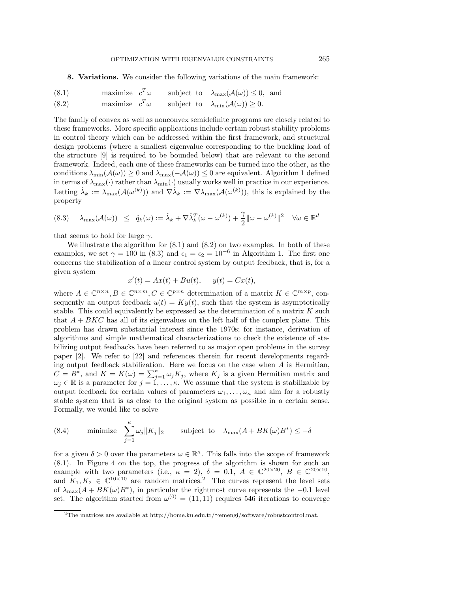<span id="page-19-1"></span><span id="page-19-0"></span>8. Variations. We consider the following variations of the main framework:

| (8.1) | maximize $c^T\omega$  |  | subject to $\lambda_{\max}(\mathcal{A}(\omega)) \leq 0$ , and |  |
|-------|-----------------------|--|---------------------------------------------------------------|--|
| (8.2) | maximize $c^T \omega$ |  | subject to $\lambda_{\min}(\mathcal{A}(\omega)) \geq 0$ .     |  |

The family of convex as well as nonconvex semidefinite programs are closely related to these frameworks. More specific applications include certain robust stability problems in control theory which can be addressed within the first framework, and structural design problems (where a smallest eigenvalue corresponding to the buckling load of the structure [\[9\]](#page-22-20) is required to be bounded below) that are relevant to the second framework. Indeed, each one of these frameworks can be turned into the other, as the conditions  $\lambda_{\min}(\mathcal{A}(\omega)) \geq 0$  and  $\lambda_{\max}(-\mathcal{A}(\omega)) \leq 0$  are equivalent. Algorithm [1](#page-10-0) defined in terms of  $\lambda_{\max}(\cdot)$  rather than  $\lambda_{\min}(\cdot)$  usually works well in practice in our experience. Letting  $\hat{\lambda}_k := \lambda_{\max}(\mathcal{A}(\omega^{(k)}))$  and  $\nabla \hat{\lambda}_k := \nabla \lambda_{\max}(\mathcal{A}(\omega^{(k)}))$ , this is explained by the property

<span id="page-19-2"></span>(8.3) 
$$
\lambda_{\max}(\mathcal{A}(\omega)) \leq \hat{q}_k(\omega) := \hat{\lambda}_k + \nabla \hat{\lambda}_k^T(\omega - \omega^{(k)}) + \frac{\gamma}{2} ||\omega - \omega^{(k)}||^2 \quad \forall \omega \in \mathbb{R}^d
$$

that seems to hold for large  $\gamma$ .

We illustrate the algorithm for  $(8.1)$  and  $(8.2)$  on two examples. In both of these examples, we set  $\gamma = 100$  in [\(8.3\)](#page-19-2) and  $\epsilon_1 = \epsilon_2 = 10^{-6}$  in Algorithm [1.](#page-10-0) The first one concerns the stabilization of a linear control system by output feedback, that is, for a given system

$$
x'(t) = Ax(t) + Bu(t), \quad y(t) = Cx(t),
$$

where  $A \in \mathbb{C}^{n \times n}, B \in \mathbb{C}^{n \times m}, C \in \mathbb{C}^{p \times n}$  determination of a matrix  $K \in \mathbb{C}^{m \times p}$ , consequently an output feedback  $u(t) = Ky(t)$ , such that the system is asymptotically stable. This could equivalently be expressed as the determination of a matrix  $K$  such that  $A + B K C$  has all of its eigenvalues on the left half of the complex plane. This problem has drawn substantial interest since the 1970s; for instance, derivation of algorithms and simple mathematical characterizations to check the existence of stabilizing output feedbacks have been referred to as major open problems in the survey paper [\[2\]](#page-22-21). We refer to [\[22\]](#page-22-22) and references therein for recent developments regarding output feedback stabilization. Here we focus on the case when  $A$  is Hermitian,  $C = B^*$ , and  $K = K(\omega) = \sum_{j=1}^{\kappa} \omega_j K_j$ , where  $K_j$  is a given Hermitian matrix and  $\omega_j \in \mathbb{R}$  is a parameter for  $j = 1, ..., \kappa$ . We assume that the system is stabilizable by output feedback for certain values of parameters  $\omega_1, \ldots, \omega_\kappa$  and aim for a robustly stable system that is as close to the original system as possible in a certain sense. Formally, we would like to solve

<span id="page-19-4"></span>(8.4) minimize 
$$
\sum_{j=1}^{\kappa} \omega_j \|K_j\|_2
$$
 subject to  $\lambda_{\max}(A + BK(\omega)B^*) \leq -\delta$ 

for a given  $\delta > 0$  over the parameters  $\omega \in \mathbb{R}^{\kappa}$ . This falls into the scope of framework [\(8.1\)](#page-19-1). In Figure [4](#page-20-0) on the top, the progress of the algorithm is shown for such an example with two parameters (i.e.,  $\kappa = 2$ ),  $\delta = 0.1$ ,  $A \in \mathbb{C}^{20 \times 20}$ ,  $B \in \mathbb{C}^{20 \times 10}$ , and  $K_1, K_2 \in \mathbb{C}^{10 \times 10}$  $K_1, K_2 \in \mathbb{C}^{10 \times 10}$  $K_1, K_2 \in \mathbb{C}^{10 \times 10}$  are random matrices.<sup>2</sup> The curves represent the level sets of  $\lambda_{\max}(A + BK(\omega)B^*)$ , in particular the rightmost curve represents the -0.1 level set. The algorithm started from  $\omega^{(0)} = (11, 11)$  requires 546 iterations to converge

<span id="page-19-3"></span><sup>2</sup>The matrices are available at http://home.ku.edu.tr/∼[emengi/software/robustcontrol.mat.](http://home.ku.edu.tr/~emengi/software/robustcontrol.mat.)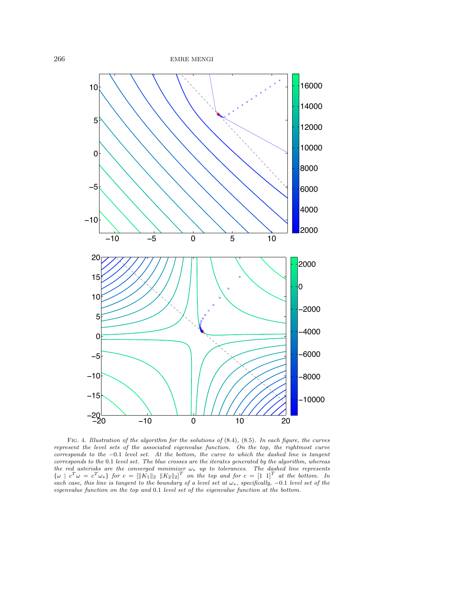<span id="page-20-0"></span>

FIG. 4. Illustration of the algorithm for the solutions of  $(8.4)$ ,  $(8.5)$ . In each figure, the curves represent the level sets of the associated eigenvalue function. On the top, the rightmost curve corresponds to the −0.1 level set. At the bottom, the curve to which the dashed line is tangent corresponds to the 0.1 level set. The blue crosses are the iterates generated by the algorithm, whereas the red asterisks are the converged minimizer  $\omega_*$  up to tolerances. The dashed line represents  $\{\omega \mid c^T \omega = c^T \omega_*\}$  for  $c = [\|K_1\|_2 \ \|K_2\|_2]^T$  on the top and for  $c = [1 \ 1]^T$  at the bottom. In each case, this line is tangent to the boundary of a level set at  $\omega_*$ , specifically, -0.1 level set of the eigenvalue function on the top and 0.1 level set of the eigenvalue function at the bottom.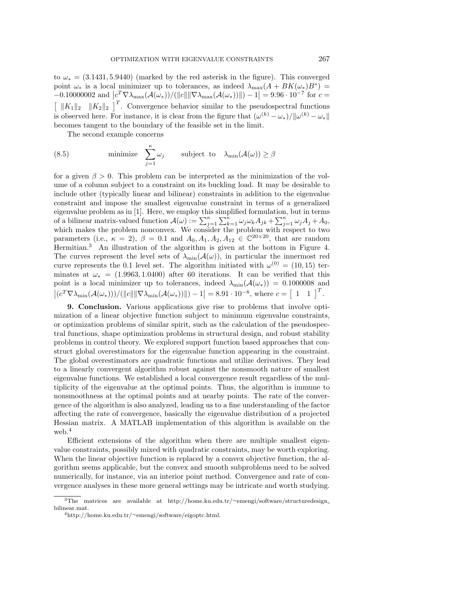to  $\omega_* = (3.1431, 5.9440)$  (marked by the red asterisk in the figure). This converged point  $\omega_*$  is a local minimizer up to tolerances, as indeed  $\lambda_{\max}(A + BK(\omega_*)B^*) =$  $-0.10000002$  and  $\left| c^T \nabla \lambda_{\max} (\mathcal{A}(\omega_*)) / (\|c\| \|\nabla \lambda_{\max} (\mathcal{A}(\omega_*)) \|) - 1 \right| = 9.96 \cdot 10^{-7}$  for  $c =$  $\left[\begin{array}{cc} ||K_1||_2 \\ ||K_2||_2 \end{array}\right]^T$ . Convergence behavior similar to the pseudospectral functions is observed here. For instance, it is clear from the figure that  $(\omega^{(k)} - \omega_*)/||\omega^{(k)} - \omega_*||$ becomes tangent to the boundary of the feasible set in the limit.

<span id="page-21-0"></span>The second example concerns

(8.5) minimize 
$$
\sum_{j=1}^{\kappa} \omega_j
$$
 subject to  $\lambda_{\min}(\mathcal{A}(\omega)) \ge \beta$ 

for a given  $\beta > 0$ . This problem can be interpreted as the minimization of the volume of a column subject to a constraint on its buckling load. It may be desirable to include other (typically linear and bilinear) constraints in addition to the eigenvalue constraint and impose the smallest eigenvalue constraint in terms of a generalized eigenvalue problem as in [\[1\]](#page-22-1). Here, we employ this simplified formulation, but in terms of a bilinear matrix-valued function  $\mathcal{A}(\omega) := \sum_{j=1}^{\kappa} \sum_{k=1}^{\kappa} \omega_j \omega_k A_{jk} + \sum_{j=1}^{\kappa} \omega_j A_j + A_0$ , which makes the problem nonconvex. We consider the problem with respect to two parameters (i.e.,  $\kappa = 2$ ),  $\beta = 0.1$  and  $A_0, A_1, A_2, A_{12} \in \mathbb{C}^{20 \times 20}$ , that are random Hermitian.[3](#page-21-1) An illustration of the algorithm is given at the bottom in Figure [4.](#page-20-0) The curves represent the level sets of  $\lambda_{\min}(\mathcal{A}(\omega))$ , in particular the innermost red curve represents the 0.1 level set. The algorithm initiated with  $\omega^{(0)} = (10, 15)$  terminates at  $\omega_* = (1.9963, 1.0400)$  after 60 iterations. It can be verified that this point is a local minimizer up to tolerances, indeed  $\lambda_{\min}(\mathcal{A}(\omega_*)) = 0.1000008$  and  $|(c^T \nabla \lambda_{\min}(\mathcal{A}(\omega_*)))/(||c|| || \nabla \lambda_{\min}(\mathcal{A}(\omega_*))||) - 1| = 8.91 \cdot 10^{-8}$ , where  $c = \begin{bmatrix} 1 & 1 \end{bmatrix}^T$ .

9. Conclusion. Various applications give rise to problems that involve optimization of a linear objective function subject to minimum eigenvalue constraints, or optimization problems of similar spirit, such as the calculation of the pseudospectral functions, shape optimization problems in structural design, and robust stability problems in control theory. We explored support function based approaches that construct global overestimators for the eigenvalue function appearing in the constraint. The global overestimators are quadratic functions and utilize derivatives. They lead to a linearly convergent algorithm robust against the nonsmooth nature of smallest eigenvalue functions. We established a local convergence result regardless of the multiplicity of the eigenvalue at the optimal points. Thus, the algorithm is immune to nonsmoothness at the optimal points and at nearby points. The rate of the convergence of the algorithm is also analyzed, leading us to a fine understanding of the factor affecting the rate of convergence, basically the eigenvalue distribution of a projected Hessian matrix. A MATLAB implementation of this algorithm is available on the web.[4](#page-21-2)

Efficient extensions of the algorithm when there are multiple smallest eigenvalue constraints, possibly mixed with quadratic constraints, may be worth exploring. When the linear objective function is replaced by a convex objective function, the algorithm seems applicable, but the convex and smooth subproblems need to be solved numerically, for instance, via an interior point method. Convergence and rate of convergence analyses in these more general settings may be intricate and worth studying.

<span id="page-21-1"></span><sup>3</sup>The matrices are available at http://home.ku.edu.tr/∼[emengi/software/structuredesign](http://home.ku.edu.tr/~emengi/software/structuredesign_bilinear.mat.) [bilinear.mat.](http://home.ku.edu.tr/~emengi/software/structuredesign_bilinear.mat.)

<span id="page-21-2"></span><sup>4</sup>http://home.ku.edu.tr/∼[emengi/software/eigoptc.html.](http://home.ku.edu.tr/~emengi/software/eigoptc.html)